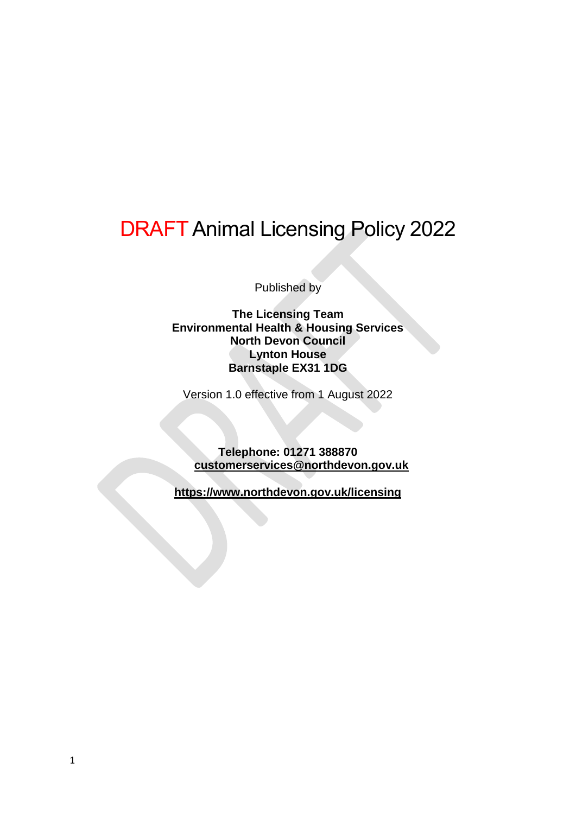# DRAFT Animal Licensing Policy 2022

Published by

**The Licensing Team Environmental Health & Housing Services North Devon Council Lynton House Barnstaple EX31 1DG**

Version 1.0 effective from 1 August 2022

**Telephone: 01271 388870 [customerservices@northdevon.gov.uk](file:///C:/Users/User/Documents/North%20Devon/Animal%20Policy/customerservices@northdevon.gov.uk)**

**<https://www.northdevon.gov.uk/licensing>**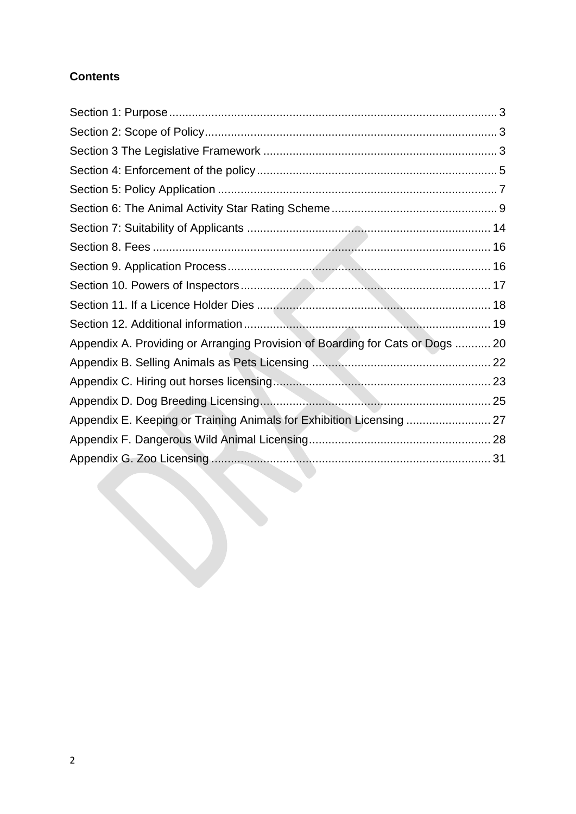# **Contents**

| Appendix A. Providing or Arranging Provision of Boarding for Cats or Dogs  20 |  |
|-------------------------------------------------------------------------------|--|
|                                                                               |  |
|                                                                               |  |
|                                                                               |  |
| Appendix E. Keeping or Training Animals for Exhibition Licensing  27          |  |
|                                                                               |  |
|                                                                               |  |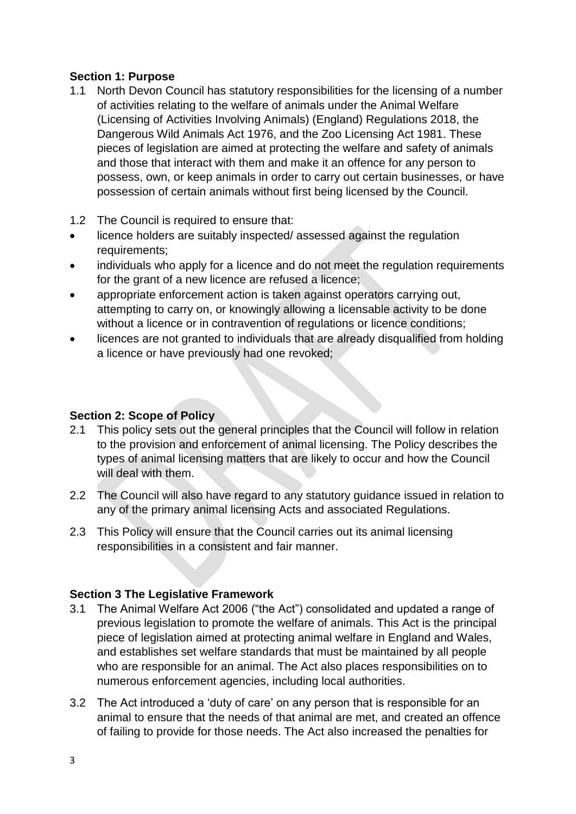## <span id="page-2-0"></span>**Section 1: Purpose**

- 1.1 North Devon Council has statutory responsibilities for the licensing of a number of activities relating to the welfare of animals under the Animal Welfare (Licensing of Activities Involving Animals) (England) Regulations 2018, the Dangerous Wild Animals Act 1976, and the Zoo Licensing Act 1981. These pieces of legislation are aimed at protecting the welfare and safety of animals and those that interact with them and make it an offence for any person to possess, own, or keep animals in order to carry out certain businesses, or have possession of certain animals without first being licensed by the Council.
- 1.2 The Council is required to ensure that:
- licence holders are suitably inspected/ assessed against the regulation requirements;
- individuals who apply for a licence and do not meet the regulation requirements for the grant of a new licence are refused a licence;
- appropriate enforcement action is taken against operators carrying out, attempting to carry on, or knowingly allowing a licensable activity to be done without a licence or in contravention of regulations or licence conditions;
- licences are not granted to individuals that are already disqualified from holding a licence or have previously had one revoked;

## <span id="page-2-1"></span>**Section 2: Scope of Policy**

- 2.1 This policy sets out the general principles that the Council will follow in relation to the provision and enforcement of animal licensing. The Policy describes the types of animal licensing matters that are likely to occur and how the Council will deal with them.
- 2.2 The Council will also have regard to any statutory guidance issued in relation to any of the primary animal licensing Acts and associated Regulations.
- 2.3 This Policy will ensure that the Council carries out its animal licensing responsibilities in a consistent and fair manner.

## <span id="page-2-2"></span>**Section 3 The Legislative Framework**

- 3.1 The Animal Welfare Act 2006 ("the Act") consolidated and updated a range of previous legislation to promote the welfare of animals. This Act is the principal piece of legislation aimed at protecting animal welfare in England and Wales, and establishes set welfare standards that must be maintained by all people who are responsible for an animal. The Act also places responsibilities on to numerous enforcement agencies, including local authorities.
- 3.2 The Act introduced a 'duty of care' on any person that is responsible for an animal to ensure that the needs of that animal are met, and created an offence of failing to provide for those needs. The Act also increased the penalties for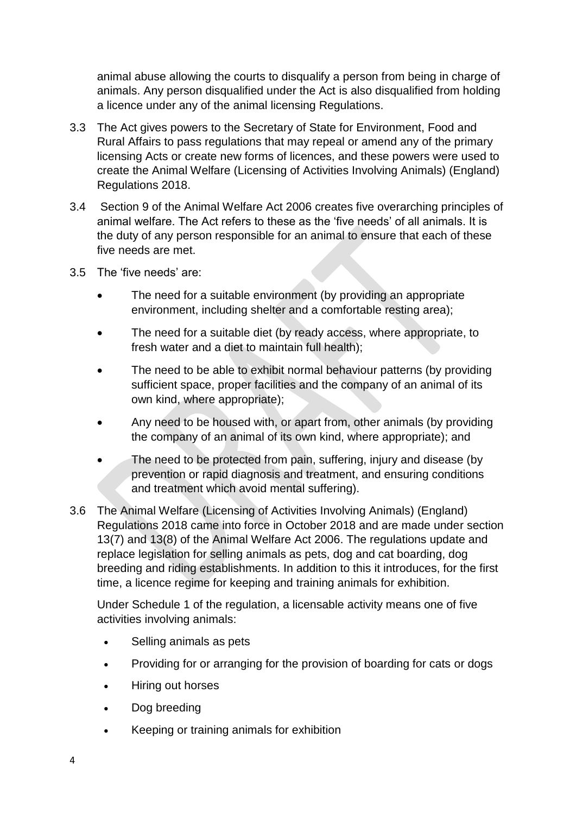animal abuse allowing the courts to disqualify a person from being in charge of animals. Any person disqualified under the Act is also disqualified from holding a licence under any of the animal licensing Regulations.

- 3.3 The Act gives powers to the Secretary of State for Environment, Food and Rural Affairs to pass regulations that may repeal or amend any of the primary licensing Acts or create new forms of licences, and these powers were used to create the Animal Welfare (Licensing of Activities Involving Animals) (England) Regulations 2018.
- 3.4 Section 9 of the Animal Welfare Act 2006 creates five overarching principles of animal welfare. The Act refers to these as the 'five needs' of all animals. It is the duty of any person responsible for an animal to ensure that each of these five needs are met.
- 3.5 The 'five needs' are:
	- The need for a suitable environment (by providing an appropriate environment, including shelter and a comfortable resting area);
	- The need for a suitable diet (by ready access, where appropriate, to fresh water and a diet to maintain full health);
	- The need to be able to exhibit normal behaviour patterns (by providing sufficient space, proper facilities and the company of an animal of its own kind, where appropriate);
	- Any need to be housed with, or apart from, other animals (by providing the company of an animal of its own kind, where appropriate); and
	- The need to be protected from pain, suffering, injury and disease (by prevention or rapid diagnosis and treatment, and ensuring conditions and treatment which avoid mental suffering).
- 3.6 The Animal Welfare (Licensing of Activities Involving Animals) (England) Regulations 2018 came into force in October 2018 and are made under section 13(7) and 13(8) of the Animal Welfare Act 2006. The regulations update and replace legislation for selling animals as pets, dog and cat boarding, dog breeding and riding establishments. In addition to this it introduces, for the first time, a licence regime for keeping and training animals for exhibition.

Under Schedule 1 of the regulation, a licensable activity means one of five activities involving animals:

- Selling animals as pets
- Providing for or arranging for the provision of boarding for cats or dogs
- Hiring out horses
- Dog breeding
- Keeping or training animals for exhibition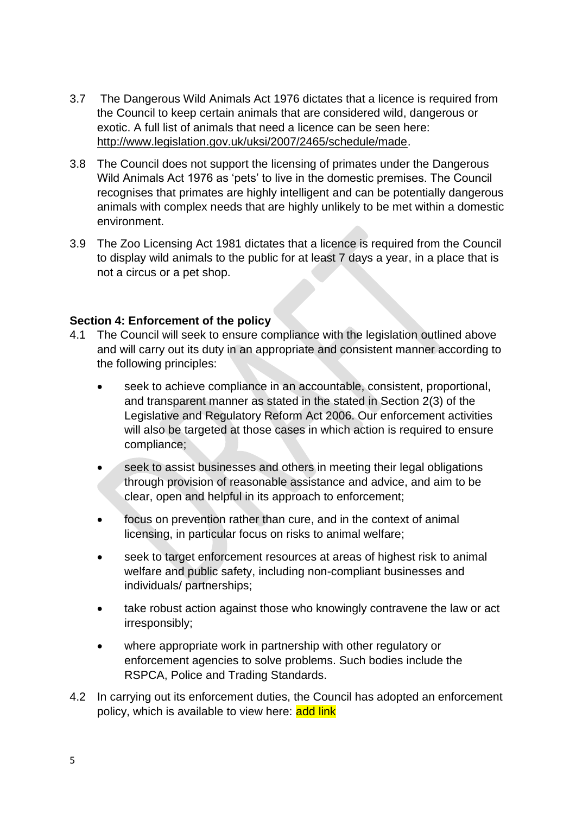- 3.7 The Dangerous Wild Animals Act 1976 dictates that a licence is required from the Council to keep certain animals that are considered wild, dangerous or exotic. A full list of animals that need a licence can be seen here: [http://www.legislation.gov.uk/uksi/2007/2465/schedule/made.](http://www.legislation.gov.uk/uksi/2007/2465/schedule/made)
- 3.8 The Council does not support the licensing of primates under the Dangerous Wild Animals Act 1976 as 'pets' to live in the domestic premises. The Council recognises that primates are highly intelligent and can be potentially dangerous animals with complex needs that are highly unlikely to be met within a domestic environment.
- 3.9 The Zoo Licensing Act 1981 dictates that a licence is required from the Council to display wild animals to the public for at least 7 days a year, in a place that is not a circus or a pet shop.

#### <span id="page-4-0"></span>**Section 4: Enforcement of the policy**

- 4.1 The Council will seek to ensure compliance with the legislation outlined above and will carry out its duty in an appropriate and consistent manner according to the following principles:
	- seek to achieve compliance in an accountable, consistent, proportional, and transparent manner as stated in the stated in Section 2(3) of the Legislative and Regulatory Reform Act 2006. Our enforcement activities will also be targeted at those cases in which action is required to ensure compliance;
	- seek to assist businesses and others in meeting their legal obligations through provision of reasonable assistance and advice, and aim to be clear, open and helpful in its approach to enforcement;
	- focus on prevention rather than cure, and in the context of animal licensing, in particular focus on risks to animal welfare;
	- seek to target enforcement resources at areas of highest risk to animal welfare and public safety, including non-compliant businesses and individuals/ partnerships;
	- take robust action against those who knowingly contravene the law or act irresponsibly;
	- where appropriate work in partnership with other regulatory or enforcement agencies to solve problems. Such bodies include the RSPCA, Police and Trading Standards.
- 4.2 In carrying out its enforcement duties, the Council has adopted an enforcement policy, which is available to view here: add link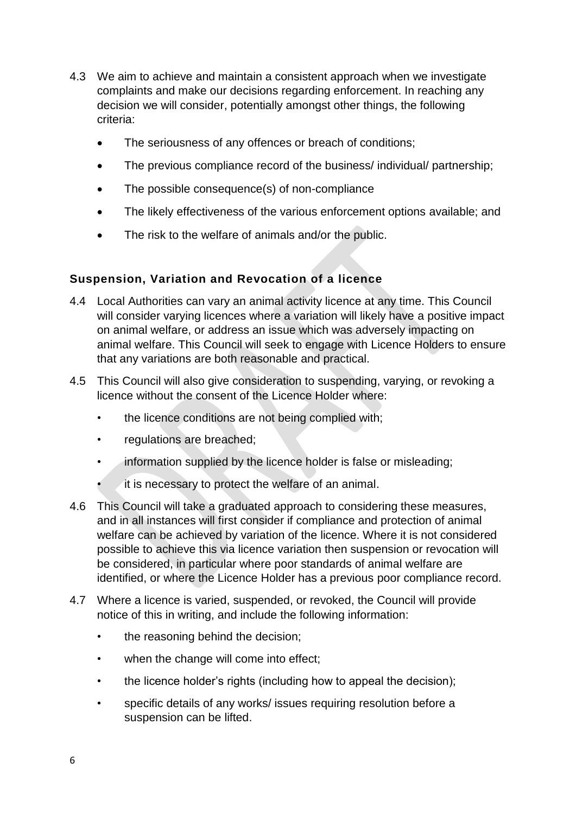- 4.3 We aim to achieve and maintain a consistent approach when we investigate complaints and make our decisions regarding enforcement. In reaching any decision we will consider, potentially amongst other things, the following criteria:
	- The seriousness of any offences or breach of conditions;
	- The previous compliance record of the business/ individual/ partnership;
	- The possible consequence(s) of non-compliance
	- The likely effectiveness of the various enforcement options available; and
	- The risk to the welfare of animals and/or the public.

# **Suspension, Variation and Revocation of a licence**

- 4.4 Local Authorities can vary an animal activity licence at any time. This Council will consider varying licences where a variation will likely have a positive impact on animal welfare, or address an issue which was adversely impacting on animal welfare. This Council will seek to engage with Licence Holders to ensure that any variations are both reasonable and practical.
- 4.5 This Council will also give consideration to suspending, varying, or revoking a licence without the consent of the Licence Holder where:
	- the licence conditions are not being complied with;
	- regulations are breached;
	- information supplied by the licence holder is false or misleading;
	- it is necessary to protect the welfare of an animal.
- 4.6 This Council will take a graduated approach to considering these measures, and in all instances will first consider if compliance and protection of animal welfare can be achieved by variation of the licence. Where it is not considered possible to achieve this via licence variation then suspension or revocation will be considered, in particular where poor standards of animal welfare are identified, or where the Licence Holder has a previous poor compliance record.
- 4.7 Where a licence is varied, suspended, or revoked, the Council will provide notice of this in writing, and include the following information:
	- the reasoning behind the decision;
	- when the change will come into effect;
	- the licence holder's rights (including how to appeal the decision);
	- specific details of any works/ issues requiring resolution before a suspension can be lifted.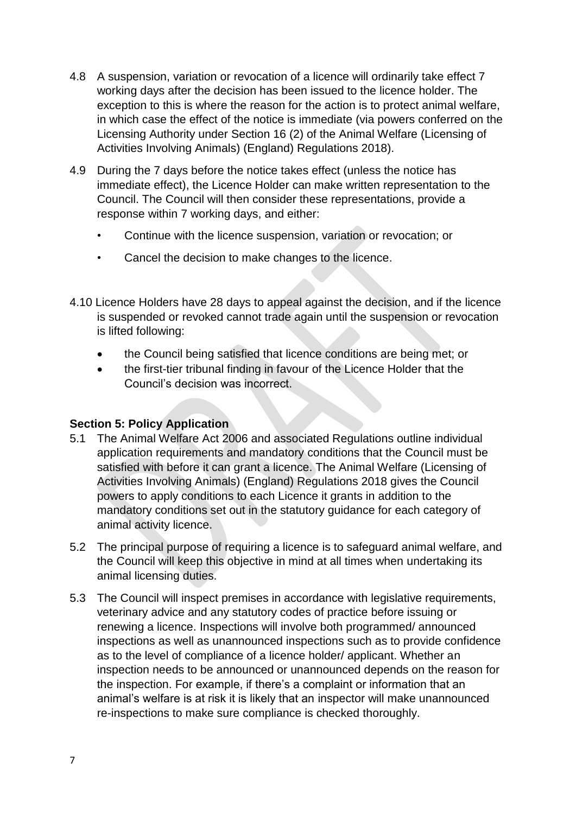- 4.8 A suspension, variation or revocation of a licence will ordinarily take effect 7 working days after the decision has been issued to the licence holder. The exception to this is where the reason for the action is to protect animal welfare, in which case the effect of the notice is immediate (via powers conferred on the Licensing Authority under Section 16 (2) of the Animal Welfare (Licensing of Activities Involving Animals) (England) Regulations 2018).
- 4.9 During the 7 days before the notice takes effect (unless the notice has immediate effect), the Licence Holder can make written representation to the Council. The Council will then consider these representations, provide a response within 7 working days, and either:
	- Continue with the licence suspension, variation or revocation; or
	- Cancel the decision to make changes to the licence.
- 4.10 Licence Holders have 28 days to appeal against the decision, and if the licence is suspended or revoked cannot trade again until the suspension or revocation is lifted following:
	- the Council being satisfied that licence conditions are being met; or
	- the first-tier tribunal finding in favour of the Licence Holder that the Council's decision was incorrect.

## <span id="page-6-0"></span>**Section 5: Policy Application**

- 5.1 The Animal Welfare Act 2006 and associated Regulations outline individual application requirements and mandatory conditions that the Council must be satisfied with before it can grant a licence. The Animal Welfare (Licensing of Activities Involving Animals) (England) Regulations 2018 gives the Council powers to apply conditions to each Licence it grants in addition to the mandatory conditions set out in the statutory guidance for each category of animal activity licence.
- 5.2 The principal purpose of requiring a licence is to safeguard animal welfare, and the Council will keep this objective in mind at all times when undertaking its animal licensing duties.
- 5.3 The Council will inspect premises in accordance with legislative requirements, veterinary advice and any statutory codes of practice before issuing or renewing a licence. Inspections will involve both programmed/ announced inspections as well as unannounced inspections such as to provide confidence as to the level of compliance of a licence holder/ applicant. Whether an inspection needs to be announced or unannounced depends on the reason for the inspection. For example, if there's a complaint or information that an animal's welfare is at risk it is likely that an inspector will make unannounced re-inspections to make sure compliance is checked thoroughly.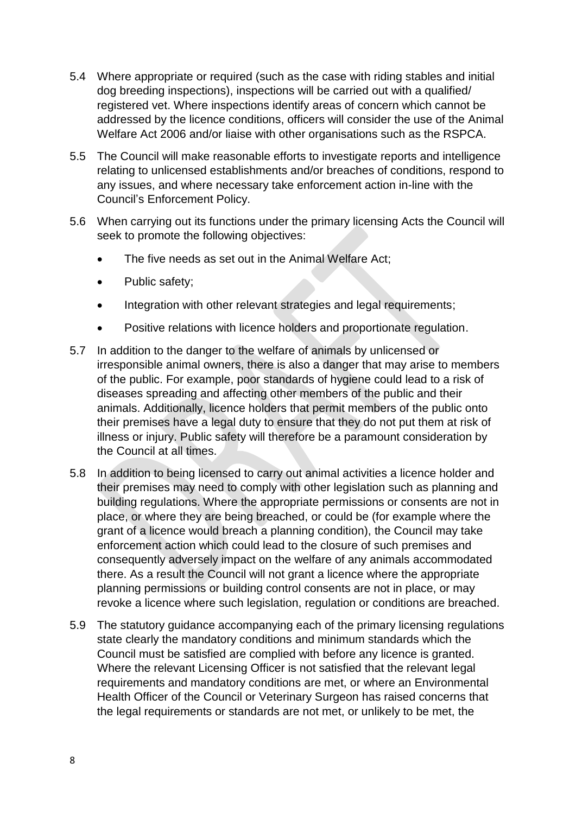- 5.4 Where appropriate or required (such as the case with riding stables and initial dog breeding inspections), inspections will be carried out with a qualified/ registered vet. Where inspections identify areas of concern which cannot be addressed by the licence conditions, officers will consider the use of the Animal Welfare Act 2006 and/or liaise with other organisations such as the RSPCA.
- 5.5 The Council will make reasonable efforts to investigate reports and intelligence relating to unlicensed establishments and/or breaches of conditions, respond to any issues, and where necessary take enforcement action in-line with the Council's Enforcement Policy.
- 5.6 When carrying out its functions under the primary licensing Acts the Council will seek to promote the following objectives:
	- The five needs as set out in the Animal Welfare Act;
	- Public safety:
	- Integration with other relevant strategies and legal requirements;
	- Positive relations with licence holders and proportionate regulation.
- 5.7 In addition to the danger to the welfare of animals by unlicensed or irresponsible animal owners, there is also a danger that may arise to members of the public. For example, poor standards of hygiene could lead to a risk of diseases spreading and affecting other members of the public and their animals. Additionally, licence holders that permit members of the public onto their premises have a legal duty to ensure that they do not put them at risk of illness or injury. Public safety will therefore be a paramount consideration by the Council at all times.
- 5.8 In addition to being licensed to carry out animal activities a licence holder and their premises may need to comply with other legislation such as planning and building regulations. Where the appropriate permissions or consents are not in place, or where they are being breached, or could be (for example where the grant of a licence would breach a planning condition), the Council may take enforcement action which could lead to the closure of such premises and consequently adversely impact on the welfare of any animals accommodated there. As a result the Council will not grant a licence where the appropriate planning permissions or building control consents are not in place, or may revoke a licence where such legislation, regulation or conditions are breached.
- 5.9 The statutory guidance accompanying each of the primary licensing regulations state clearly the mandatory conditions and minimum standards which the Council must be satisfied are complied with before any licence is granted. Where the relevant Licensing Officer is not satisfied that the relevant legal requirements and mandatory conditions are met, or where an Environmental Health Officer of the Council or Veterinary Surgeon has raised concerns that the legal requirements or standards are not met, or unlikely to be met, the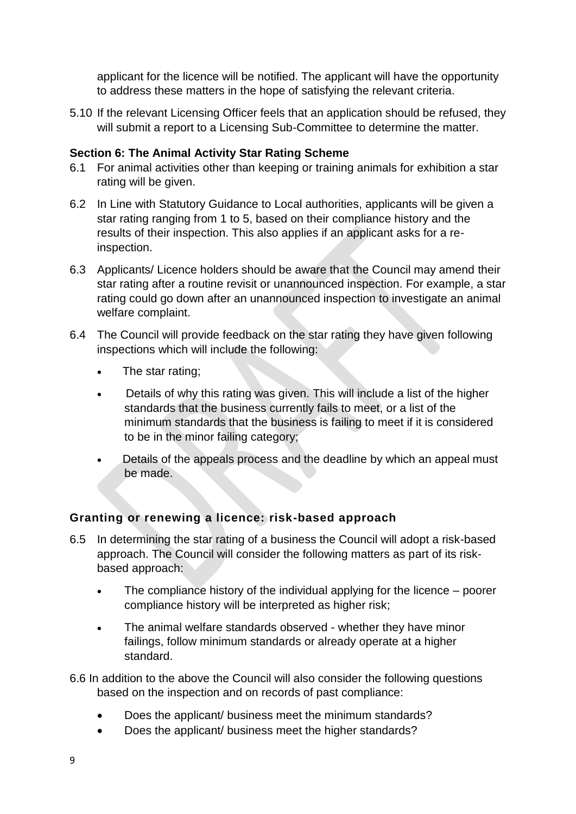applicant for the licence will be notified. The applicant will have the opportunity to address these matters in the hope of satisfying the relevant criteria.

5.10 If the relevant Licensing Officer feels that an application should be refused, they will submit a report to a Licensing Sub-Committee to determine the matter.

## <span id="page-8-0"></span>**Section 6: The Animal Activity Star Rating Scheme**

- 6.1 For animal activities other than keeping or training animals for exhibition a star rating will be given.
- 6.2 In Line with Statutory Guidance to Local authorities, applicants will be given a star rating ranging from 1 to 5, based on their compliance history and the results of their inspection. This also applies if an applicant asks for a reinspection.
- 6.3 Applicants/ Licence holders should be aware that the Council may amend their star rating after a routine revisit or unannounced inspection. For example, a star rating could go down after an unannounced inspection to investigate an animal welfare complaint.
- 6.4 The Council will provide feedback on the star rating they have given following inspections which will include the following:
	- The star rating;
	- Details of why this rating was given. This will include a list of the higher standards that the business currently fails to meet, or a list of the minimum standards that the business is failing to meet if it is considered to be in the minor failing category;
	- Details of the appeals process and the deadline by which an appeal must be made.

# **Granting or renewing a licence: risk-based approach**

- 6.5 In determining the star rating of a business the Council will adopt a risk-based approach. The Council will consider the following matters as part of its riskbased approach:
	- The compliance history of the individual applying for the licence poorer compliance history will be interpreted as higher risk;
	- The animal welfare standards observed whether they have minor failings, follow minimum standards or already operate at a higher standard.
- 6.6 In addition to the above the Council will also consider the following questions based on the inspection and on records of past compliance:
	- Does the applicant/ business meet the minimum standards?
	- Does the applicant/ business meet the higher standards?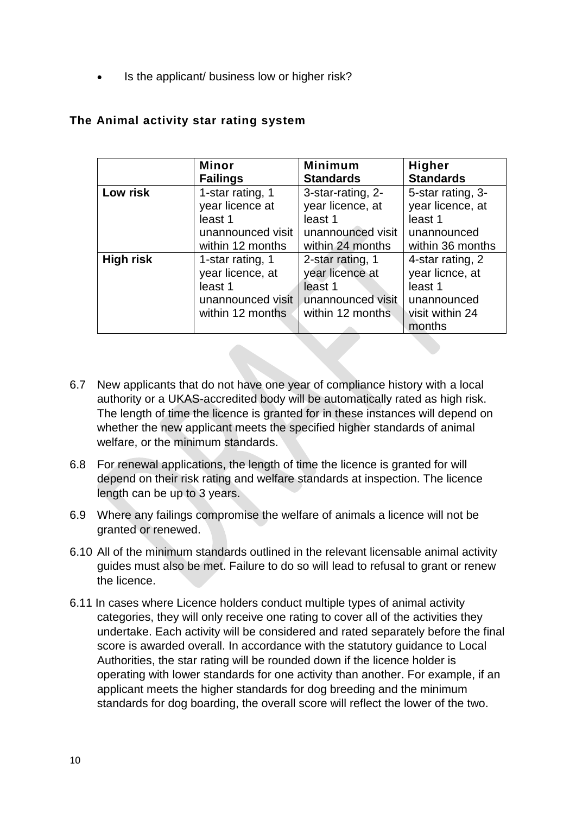Is the applicant/ business low or higher risk?

|                  | <b>Minor</b>      | <b>Minimum</b>    | <b>Higher</b>     |
|------------------|-------------------|-------------------|-------------------|
|                  | <b>Failings</b>   | <b>Standards</b>  | <b>Standards</b>  |
| Low risk         | 1-star rating, 1  | 3-star-rating, 2- | 5-star rating, 3- |
|                  | year licence at   | year licence, at  | year licence, at  |
|                  | least 1           | least 1           | least 1           |
|                  | unannounced visit | unannounced visit | unannounced       |
|                  | within 12 months  | within 24 months  | within 36 months  |
| <b>High risk</b> | 1-star rating, 1  | 2-star rating, 1  | 4-star rating, 2  |
|                  | year licence, at  | year licence at   | year licnce, at   |
|                  | least 1           | least 1           | least 1           |
|                  | unannounced visit | unannounced visit | unannounced       |
|                  | within 12 months  | within 12 months  | visit within 24   |
|                  |                   |                   | months            |

# **The Animal activity star rating system**

- 6.7 New applicants that do not have one year of compliance history with a local authority or a UKAS-accredited body will be automatically rated as high risk. The length of time the licence is granted for in these instances will depend on whether the new applicant meets the specified higher standards of animal welfare, or the minimum standards.
- 6.8 For renewal applications, the length of time the licence is granted for will depend on their risk rating and welfare standards at inspection. The licence length can be up to 3 years.
- 6.9 Where any failings compromise the welfare of animals a licence will not be granted or renewed.
- 6.10 All of the minimum standards outlined in the relevant licensable animal activity guides must also be met. Failure to do so will lead to refusal to grant or renew the licence.
- 6.11 In cases where Licence holders conduct multiple types of animal activity categories, they will only receive one rating to cover all of the activities they undertake. Each activity will be considered and rated separately before the final score is awarded overall. In accordance with the statutory guidance to Local Authorities, the star rating will be rounded down if the licence holder is operating with lower standards for one activity than another. For example, if an applicant meets the higher standards for dog breeding and the minimum standards for dog boarding, the overall score will reflect the lower of the two.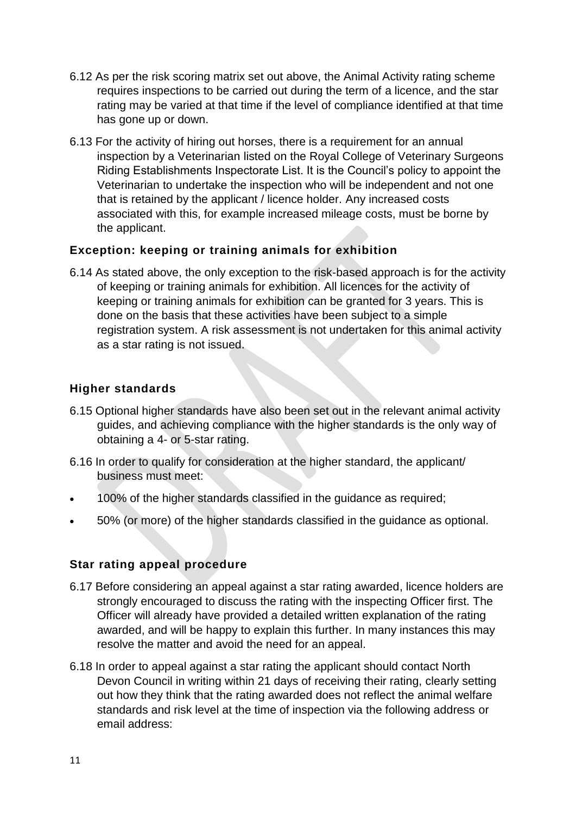- 6.12 As per the risk scoring matrix set out above, the Animal Activity rating scheme requires inspections to be carried out during the term of a licence, and the star rating may be varied at that time if the level of compliance identified at that time has gone up or down.
- 6.13 For the activity of hiring out horses, there is a requirement for an annual inspection by a Veterinarian listed on the Royal College of Veterinary Surgeons Riding Establishments Inspectorate List. It is the Council's policy to appoint the Veterinarian to undertake the inspection who will be independent and not one that is retained by the applicant / licence holder. Any increased costs associated with this, for example increased mileage costs, must be borne by the applicant.

## **Exception: keeping or training animals for exhibition**

6.14 As stated above, the only exception to the risk-based approach is for the activity of keeping or training animals for exhibition. All licences for the activity of keeping or training animals for exhibition can be granted for 3 years. This is done on the basis that these activities have been subject to a simple registration system. A risk assessment is not undertaken for this animal activity as a star rating is not issued.

## **Higher standards**

- 6.15 Optional higher standards have also been set out in the relevant animal activity guides, and achieving compliance with the higher standards is the only way of obtaining a 4- or 5-star rating.
- 6.16 In order to qualify for consideration at the higher standard, the applicant/ business must meet:
- 100% of the higher standards classified in the guidance as required;
- 50% (or more) of the higher standards classified in the guidance as optional.

## **Star rating appeal procedure**

- 6.17 Before considering an appeal against a star rating awarded, licence holders are strongly encouraged to discuss the rating with the inspecting Officer first. The Officer will already have provided a detailed written explanation of the rating awarded, and will be happy to explain this further. In many instances this may resolve the matter and avoid the need for an appeal.
- 6.18 In order to appeal against a star rating the applicant should contact North Devon Council in writing within 21 days of receiving their rating, clearly setting out how they think that the rating awarded does not reflect the animal welfare standards and risk level at the time of inspection via the following address or email address: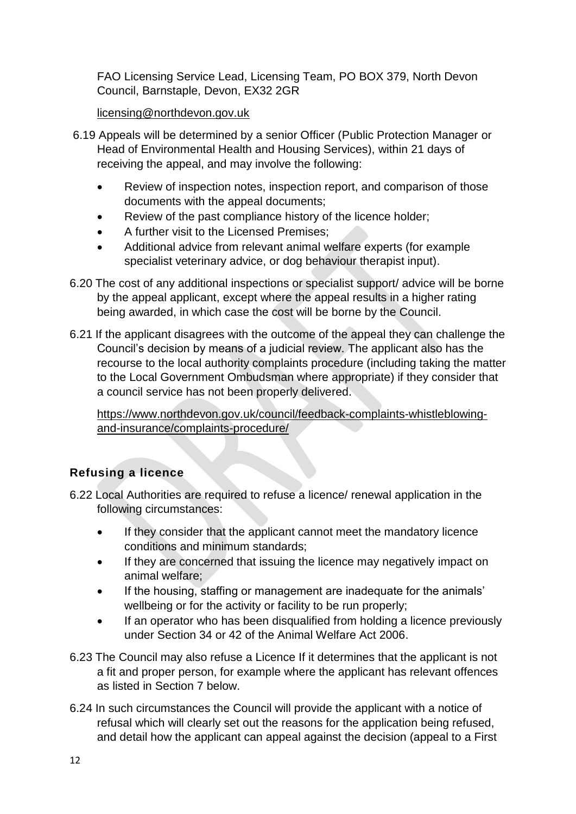FAO Licensing Service Lead, Licensing Team, PO BOX 379, North Devon Council, Barnstaple, Devon, EX32 2GR

## [licensing@northdevon.gov.uk](mailto:licensing@northdevon.gov.uk)

- 6.19 Appeals will be determined by a senior Officer (Public Protection Manager or Head of Environmental Health and Housing Services), within 21 days of receiving the appeal, and may involve the following:
	- Review of inspection notes, inspection report, and comparison of those documents with the appeal documents;
	- Review of the past compliance history of the licence holder;
	- A further visit to the Licensed Premises;
	- Additional advice from relevant animal welfare experts (for example specialist veterinary advice, or dog behaviour therapist input).
- 6.20 The cost of any additional inspections or specialist support/ advice will be borne by the appeal applicant, except where the appeal results in a higher rating being awarded, in which case the cost will be borne by the Council.
- 6.21 If the applicant disagrees with the outcome of the appeal they can challenge the Council's decision by means of a judicial review. The applicant also has the recourse to the local authority complaints procedure (including taking the matter to the Local Government Ombudsman where appropriate) if they consider that a council service has not been properly delivered.

[https://www.northdevon.gov.uk/council/feedback-complaints-whistleblowing](https://www.northdevon.gov.uk/council/feedback-complaints-whistleblowing-and-insurance/complaints-procedure/)[and-insurance/complaints-procedure/](https://www.northdevon.gov.uk/council/feedback-complaints-whistleblowing-and-insurance/complaints-procedure/)

# **Refusing a licence**

- 6.22 Local Authorities are required to refuse a licence/ renewal application in the following circumstances:
	- If they consider that the applicant cannot meet the mandatory licence conditions and minimum standards;
	- If they are concerned that issuing the licence may negatively impact on animal welfare;
	- If the housing, staffing or management are inadequate for the animals' wellbeing or for the activity or facility to be run properly;
	- If an operator who has been disqualified from holding a licence previously under Section 34 or 42 of the Animal Welfare Act 2006.
- 6.23 The Council may also refuse a Licence If it determines that the applicant is not a fit and proper person, for example where the applicant has relevant offences as listed in Section 7 below.
- 6.24 In such circumstances the Council will provide the applicant with a notice of refusal which will clearly set out the reasons for the application being refused, and detail how the applicant can appeal against the decision (appeal to a First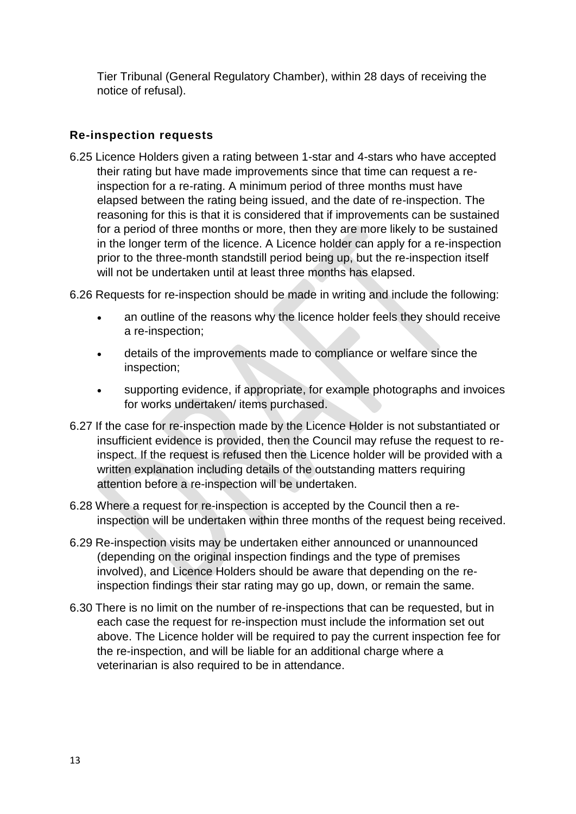Tier Tribunal (General Regulatory Chamber), within 28 days of receiving the notice of refusal).

## **Re-inspection requests**

6.25 Licence Holders given a rating between 1-star and 4-stars who have accepted their rating but have made improvements since that time can request a reinspection for a re-rating. A minimum period of three months must have elapsed between the rating being issued, and the date of re-inspection. The reasoning for this is that it is considered that if improvements can be sustained for a period of three months or more, then they are more likely to be sustained in the longer term of the licence. A Licence holder can apply for a re-inspection prior to the three-month standstill period being up, but the re-inspection itself will not be undertaken until at least three months has elapsed.

6.26 Requests for re-inspection should be made in writing and include the following:

- an outline of the reasons why the licence holder feels they should receive a re-inspection;
- details of the improvements made to compliance or welfare since the inspection;
- supporting evidence, if appropriate, for example photographs and invoices for works undertaken/ items purchased.
- 6.27 If the case for re-inspection made by the Licence Holder is not substantiated or insufficient evidence is provided, then the Council may refuse the request to reinspect. If the request is refused then the Licence holder will be provided with a written explanation including details of the outstanding matters requiring attention before a re-inspection will be undertaken.
- 6.28 Where a request for re-inspection is accepted by the Council then a reinspection will be undertaken within three months of the request being received.
- 6.29 Re-inspection visits may be undertaken either announced or unannounced (depending on the original inspection findings and the type of premises involved), and Licence Holders should be aware that depending on the reinspection findings their star rating may go up, down, or remain the same.
- 6.30 There is no limit on the number of re-inspections that can be requested, but in each case the request for re-inspection must include the information set out above. The Licence holder will be required to pay the current inspection fee for the re-inspection, and will be liable for an additional charge where a veterinarian is also required to be in attendance.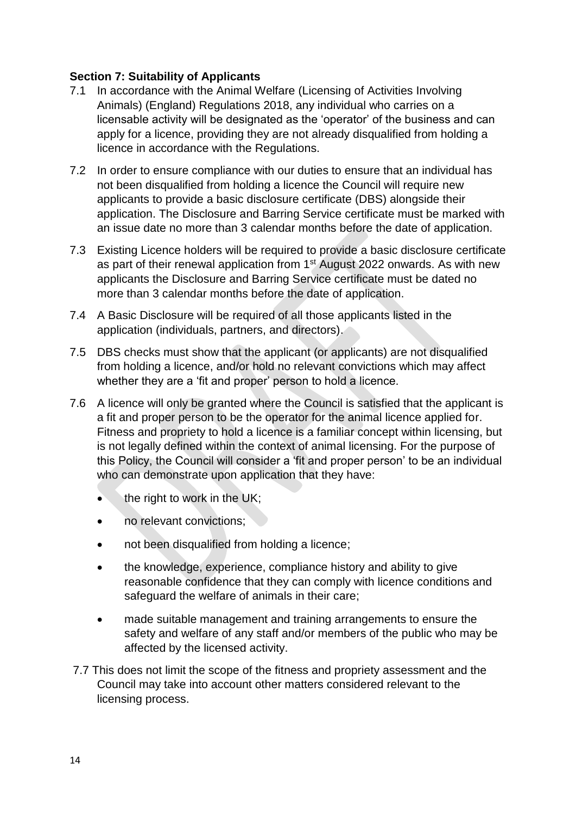#### <span id="page-13-0"></span>**Section 7: Suitability of Applicants**

- 7.1 In accordance with the Animal Welfare (Licensing of Activities Involving Animals) (England) Regulations 2018, any individual who carries on a licensable activity will be designated as the 'operator' of the business and can apply for a licence, providing they are not already disqualified from holding a licence in accordance with the Regulations.
- 7.2 In order to ensure compliance with our duties to ensure that an individual has not been disqualified from holding a licence the Council will require new applicants to provide a basic disclosure certificate (DBS) alongside their application. The Disclosure and Barring Service certificate must be marked with an issue date no more than 3 calendar months before the date of application.
- 7.3 Existing Licence holders will be required to provide a basic disclosure certificate as part of their renewal application from 1st August 2022 onwards. As with new applicants the Disclosure and Barring Service certificate must be dated no more than 3 calendar months before the date of application.
- 7.4 A Basic Disclosure will be required of all those applicants listed in the application (individuals, partners, and directors).
- 7.5 DBS checks must show that the applicant (or applicants) are not disqualified from holding a licence, and/or hold no relevant convictions which may affect whether they are a 'fit and proper' person to hold a licence.
- 7.6 A licence will only be granted where the Council is satisfied that the applicant is a fit and proper person to be the operator for the animal licence applied for. Fitness and propriety to hold a licence is a familiar concept within licensing, but is not legally defined within the context of animal licensing. For the purpose of this Policy, the Council will consider a 'fit and proper person' to be an individual who can demonstrate upon application that they have:
	- the right to work in the UK;
	- no relevant convictions;
	- not been disqualified from holding a licence;
	- the knowledge, experience, compliance history and ability to give reasonable confidence that they can comply with licence conditions and safeguard the welfare of animals in their care;
	- made suitable management and training arrangements to ensure the safety and welfare of any staff and/or members of the public who may be affected by the licensed activity.
- 7.7 This does not limit the scope of the fitness and propriety assessment and the Council may take into account other matters considered relevant to the licensing process.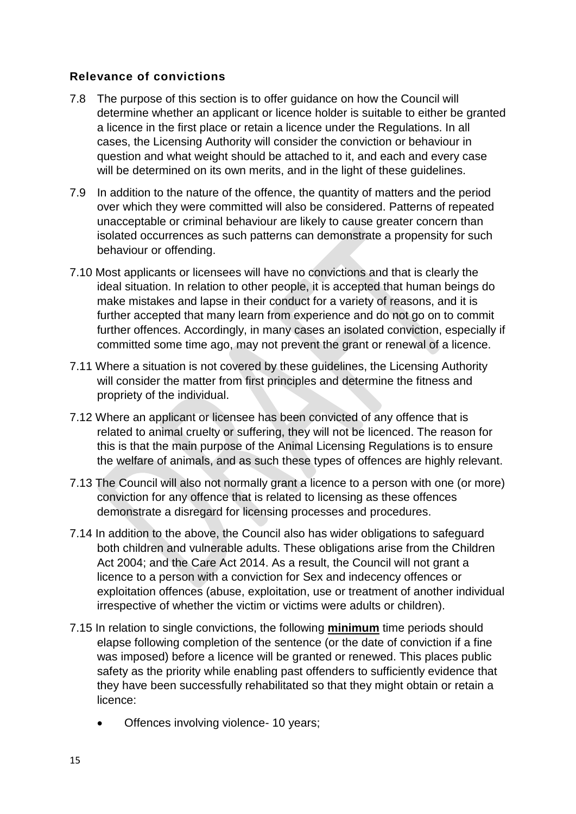## **Relevance of convictions**

- 7.8 The purpose of this section is to offer guidance on how the Council will determine whether an applicant or licence holder is suitable to either be granted a licence in the first place or retain a licence under the Regulations. In all cases, the Licensing Authority will consider the conviction or behaviour in question and what weight should be attached to it, and each and every case will be determined on its own merits, and in the light of these guidelines.
- 7.9 In addition to the nature of the offence, the quantity of matters and the period over which they were committed will also be considered. Patterns of repeated unacceptable or criminal behaviour are likely to cause greater concern than isolated occurrences as such patterns can demonstrate a propensity for such behaviour or offending.
- 7.10 Most applicants or licensees will have no convictions and that is clearly the ideal situation. In relation to other people, it is accepted that human beings do make mistakes and lapse in their conduct for a variety of reasons, and it is further accepted that many learn from experience and do not go on to commit further offences. Accordingly, in many cases an isolated conviction, especially if committed some time ago, may not prevent the grant or renewal of a licence.
- 7.11 Where a situation is not covered by these guidelines, the Licensing Authority will consider the matter from first principles and determine the fitness and propriety of the individual.
- 7.12 Where an applicant or licensee has been convicted of any offence that is related to animal cruelty or suffering, they will not be licenced. The reason for this is that the main purpose of the Animal Licensing Regulations is to ensure the welfare of animals, and as such these types of offences are highly relevant.
- 7.13 The Council will also not normally grant a licence to a person with one (or more) conviction for any offence that is related to licensing as these offences demonstrate a disregard for licensing processes and procedures.
- 7.14 In addition to the above, the Council also has wider obligations to safeguard both children and vulnerable adults. These obligations arise from the Children Act 2004; and the Care Act 2014. As a result, the Council will not grant a licence to a person with a conviction for Sex and indecency offences or exploitation offences (abuse, exploitation, use or treatment of another individual irrespective of whether the victim or victims were adults or children).
- 7.15 In relation to single convictions, the following **minimum** time periods should elapse following completion of the sentence (or the date of conviction if a fine was imposed) before a licence will be granted or renewed. This places public safety as the priority while enabling past offenders to sufficiently evidence that they have been successfully rehabilitated so that they might obtain or retain a licence:
	- Offences involving violence- 10 years;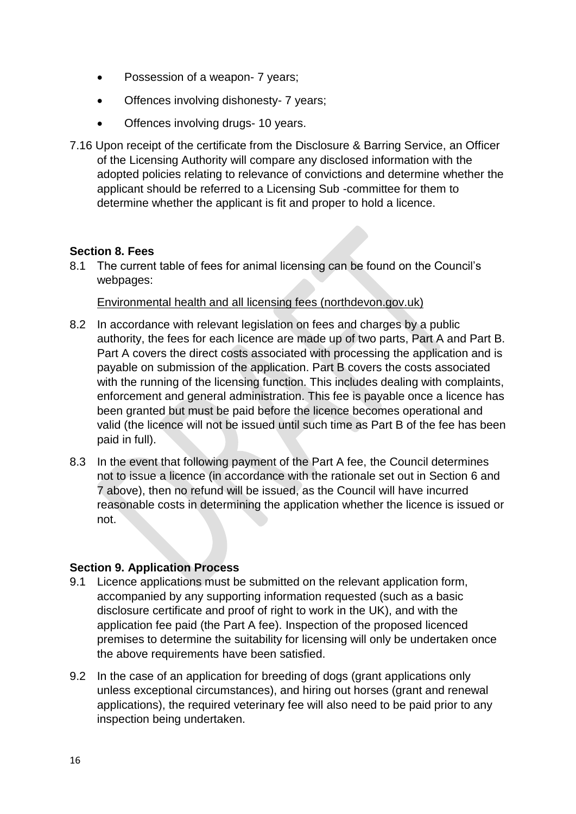- Possession of a weapon- 7 years;
- Offences involving dishonesty- 7 years;
- Offences involving drugs- 10 years.
- 7.16 Upon receipt of the certificate from the Disclosure & Barring Service, an Officer of the Licensing Authority will compare any disclosed information with the adopted policies relating to relevance of convictions and determine whether the applicant should be referred to a Licensing Sub -committee for them to determine whether the applicant is fit and proper to hold a licence.

#### <span id="page-15-0"></span>**Section 8. Fees**

8.1 The current table of fees for animal licensing can be found on the Council's webpages:

Environmental health and all [licensing fees \(northdevon.gov.uk\)](https://www.northdevon.gov.uk/council/charges-for-council-facilities-and-services/environmental-health-and-all-licensing-fees/)

- 8.2 In accordance with relevant legislation on fees and charges by a public authority, the fees for each licence are made up of two parts, Part A and Part B. Part A covers the direct costs associated with processing the application and is payable on submission of the application. Part B covers the costs associated with the running of the licensing function. This includes dealing with complaints, enforcement and general administration. This fee is payable once a licence has been granted but must be paid before the licence becomes operational and valid (the licence will not be issued until such time as Part B of the fee has been paid in full).
- 8.3 In the event that following payment of the Part A fee, the Council determines not to issue a licence (in accordance with the rationale set out in Section 6 and 7 above), then no refund will be issued, as the Council will have incurred reasonable costs in determining the application whether the licence is issued or not.

#### <span id="page-15-1"></span>**Section 9. Application Process**

- 9.1 Licence applications must be submitted on the relevant application form, accompanied by any supporting information requested (such as a basic disclosure certificate and proof of right to work in the UK), and with the application fee paid (the Part A fee). Inspection of the proposed licenced premises to determine the suitability for licensing will only be undertaken once the above requirements have been satisfied.
- 9.2 In the case of an application for breeding of dogs (grant applications only unless exceptional circumstances), and hiring out horses (grant and renewal applications), the required veterinary fee will also need to be paid prior to any inspection being undertaken.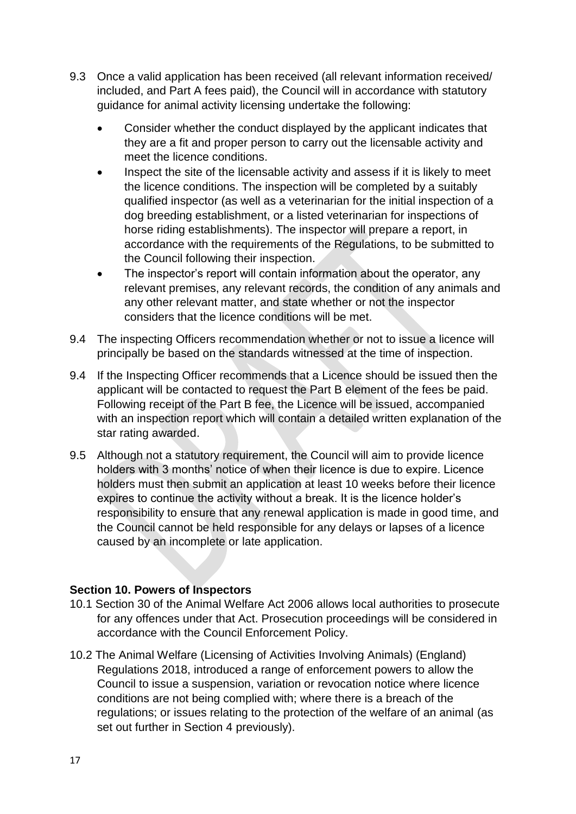- 9.3 Once a valid application has been received (all relevant information received/ included, and Part A fees paid), the Council will in accordance with statutory guidance for animal activity licensing undertake the following:
	- Consider whether the conduct displayed by the applicant indicates that they are a fit and proper person to carry out the licensable activity and meet the licence conditions.
	- Inspect the site of the licensable activity and assess if it is likely to meet the licence conditions. The inspection will be completed by a suitably qualified inspector (as well as a veterinarian for the initial inspection of a dog breeding establishment, or a listed veterinarian for inspections of horse riding establishments). The inspector will prepare a report, in accordance with the requirements of the Regulations, to be submitted to the Council following their inspection.
	- The inspector's report will contain information about the operator, any relevant premises, any relevant records, the condition of any animals and any other relevant matter, and state whether or not the inspector considers that the licence conditions will be met.
- 9.4 The inspecting Officers recommendation whether or not to issue a licence will principally be based on the standards witnessed at the time of inspection.
- 9.4 If the Inspecting Officer recommends that a Licence should be issued then the applicant will be contacted to request the Part B element of the fees be paid. Following receipt of the Part B fee, the Licence will be issued, accompanied with an inspection report which will contain a detailed written explanation of the star rating awarded.
- 9.5 Although not a statutory requirement, the Council will aim to provide licence holders with 3 months' notice of when their licence is due to expire. Licence holders must then submit an application at least 10 weeks before their licence expires to continue the activity without a break. It is the licence holder's responsibility to ensure that any renewal application is made in good time, and the Council cannot be held responsible for any delays or lapses of a licence caused by an incomplete or late application.

## <span id="page-16-0"></span>**Section 10. Powers of Inspectors**

- 10.1 Section 30 of the Animal Welfare Act 2006 allows local authorities to prosecute for any offences under that Act. Prosecution proceedings will be considered in accordance with the Council Enforcement Policy.
- 10.2 The Animal Welfare (Licensing of Activities Involving Animals) (England) Regulations 2018, introduced a range of enforcement powers to allow the Council to issue a suspension, variation or revocation notice where licence conditions are not being complied with; where there is a breach of the regulations; or issues relating to the protection of the welfare of an animal (as set out further in Section 4 previously).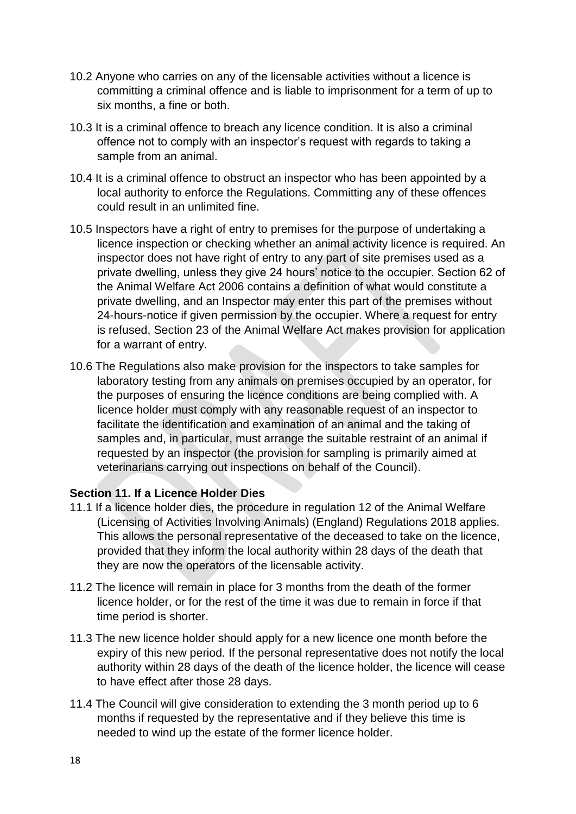- 10.2 Anyone who carries on any of the licensable activities without a licence is committing a criminal offence and is liable to imprisonment for a term of up to six months, a fine or both.
- 10.3 It is a criminal offence to breach any licence condition. It is also a criminal offence not to comply with an inspector's request with regards to taking a sample from an animal.
- 10.4 It is a criminal offence to obstruct an inspector who has been appointed by a local authority to enforce the Regulations. Committing any of these offences could result in an unlimited fine.
- 10.5 Inspectors have a right of entry to premises for the purpose of undertaking a licence inspection or checking whether an animal activity licence is required. An inspector does not have right of entry to any part of site premises used as a private dwelling, unless they give 24 hours' notice to the occupier. Section 62 of the Animal Welfare Act 2006 contains a definition of what would constitute a private dwelling, and an Inspector may enter this part of the premises without 24-hours-notice if given permission by the occupier. Where a request for entry is refused, Section 23 of the Animal Welfare Act makes provision for application for a warrant of entry.
- 10.6 The Regulations also make provision for the inspectors to take samples for laboratory testing from any animals on premises occupied by an operator, for the purposes of ensuring the licence conditions are being complied with. A licence holder must comply with any reasonable request of an inspector to facilitate the identification and examination of an animal and the taking of samples and, in particular, must arrange the suitable restraint of an animal if requested by an inspector (the provision for sampling is primarily aimed at veterinarians carrying out inspections on behalf of the Council).

## <span id="page-17-0"></span>**Section 11. If a Licence Holder Dies**

- 11.1 If a licence holder dies, the procedure in regulation 12 of the Animal Welfare (Licensing of Activities Involving Animals) (England) Regulations 2018 applies. This allows the personal representative of the deceased to take on the licence, provided that they inform the local authority within 28 days of the death that they are now the operators of the licensable activity.
- 11.2 The licence will remain in place for 3 months from the death of the former licence holder, or for the rest of the time it was due to remain in force if that time period is shorter.
- 11.3 The new licence holder should apply for a new licence one month before the expiry of this new period. If the personal representative does not notify the local authority within 28 days of the death of the licence holder, the licence will cease to have effect after those 28 days.
- 11.4 The Council will give consideration to extending the 3 month period up to 6 months if requested by the representative and if they believe this time is needed to wind up the estate of the former licence holder.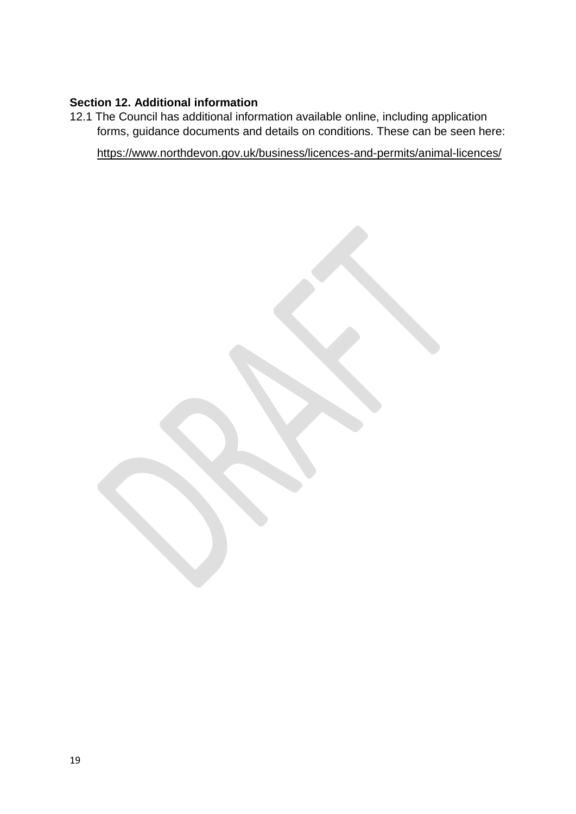## <span id="page-18-0"></span>**Section 12. Additional information**

12.1 The Council has additional information available online, including application forms, guidance documents and details on conditions. These can be seen here:

<https://www.northdevon.gov.uk/business/licences-and-permits/animal-licences/>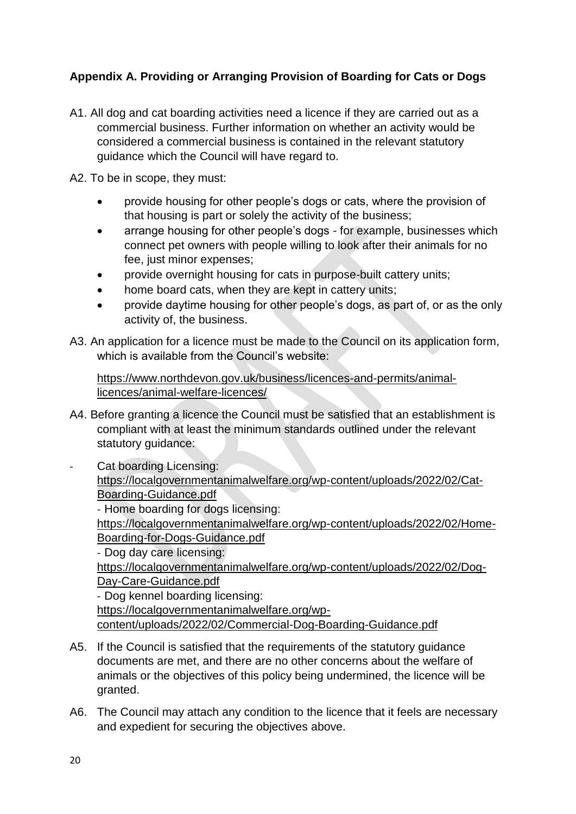# <span id="page-19-0"></span>**Appendix A. Providing or Arranging Provision of Boarding for Cats or Dogs**

A1. All dog and cat boarding activities need a licence if they are carried out as a commercial business. Further information on whether an activity would be considered a commercial business is contained in the relevant statutory guidance which the Council will have regard to.

A2. To be in scope, they must:

- provide housing for other people's dogs or cats, where the provision of that housing is part or solely the activity of the business;
- arrange housing for other people's dogs for example, businesses which connect pet owners with people willing to look after their animals for no fee, just minor expenses;
- provide overnight housing for cats in purpose-built cattery units;
- home board cats, when they are kept in cattery units;
- provide daytime housing for other people's dogs, as part of, or as the only activity of, the business.
- A3. An application for a licence must be made to the Council on its application form, which is available from the Council's website:

[https://www.northdevon.gov.uk/business/licences-and-permits/animal](https://www.northdevon.gov.uk/business/licences-and-permits/animal-licences/animal-welfare-licences/)[licences/animal-welfare-licences/](https://www.northdevon.gov.uk/business/licences-and-permits/animal-licences/animal-welfare-licences/)

A4. Before granting a licence the Council must be satisfied that an establishment is compliant with at least the minimum standards outlined under the relevant statutory guidance:

Cat boarding Licensing: [https://localgovernmentanimalwelfare.org/wp-content/uploads/2022/02/Cat-](https://localgovernmentanimalwelfare.org/wp-content/uploads/2022/02/Cat-Boarding-Guidance.pdf)[Boarding-Guidance.pdf](https://localgovernmentanimalwelfare.org/wp-content/uploads/2022/02/Cat-Boarding-Guidance.pdf) - Home boarding for dogs licensing: [https://localgovernmentanimalwelfare.org/wp-content/uploads/2022/02/Home-](https://localgovernmentanimalwelfare.org/wp-content/uploads/2022/02/Home-Boarding-for-Dogs-Guidance.pdf)[Boarding-for-Dogs-Guidance.pdf](https://localgovernmentanimalwelfare.org/wp-content/uploads/2022/02/Home-Boarding-for-Dogs-Guidance.pdf) - Dog day care licensing: [https://localgovernmentanimalwelfare.org/wp-content/uploads/2022/02/Dog-](https://localgovernmentanimalwelfare.org/wp-content/uploads/2022/02/Dog-Day-Care-Guidance.pdf)[Day-Care-Guidance.pdf](https://localgovernmentanimalwelfare.org/wp-content/uploads/2022/02/Dog-Day-Care-Guidance.pdf) - Dog kennel boarding licensing: [https://localgovernmentanimalwelfare.org/wp-](https://localgovernmentanimalwelfare.org/wp-content/uploads/2022/02/Commercial-Dog-Boarding-Guidance.pdf)

[content/uploads/2022/02/Commercial-Dog-Boarding-Guidance.pdf](https://localgovernmentanimalwelfare.org/wp-content/uploads/2022/02/Commercial-Dog-Boarding-Guidance.pdf)

- A5. If the Council is satisfied that the requirements of the statutory guidance documents are met, and there are no other concerns about the welfare of animals or the objectives of this policy being undermined, the licence will be granted.
- A6. The Council may attach any condition to the licence that it feels are necessary and expedient for securing the objectives above.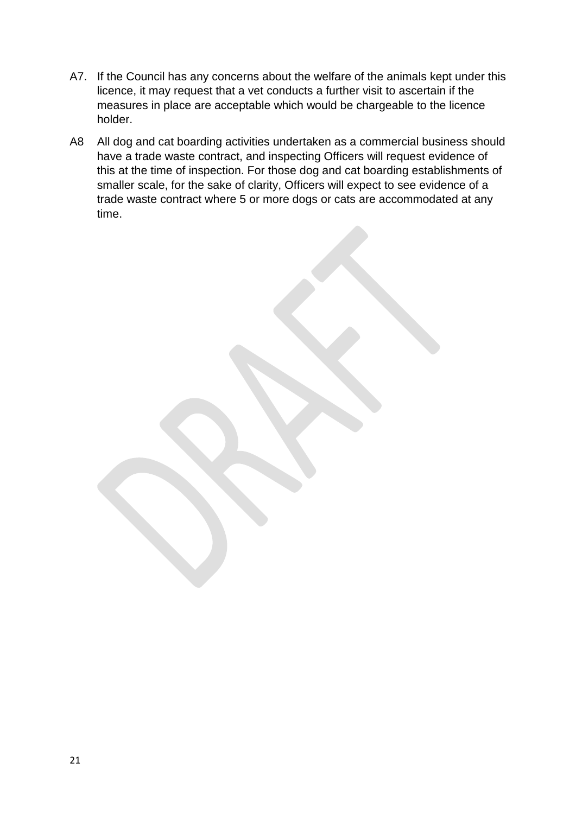- A7. If the Council has any concerns about the welfare of the animals kept under this licence, it may request that a vet conducts a further visit to ascertain if the measures in place are acceptable which would be chargeable to the licence holder.
- A8 All dog and cat boarding activities undertaken as a commercial business should have a trade waste contract, and inspecting Officers will request evidence of this at the time of inspection. For those dog and cat boarding establishments of smaller scale, for the sake of clarity, Officers will expect to see evidence of a trade waste contract where 5 or more dogs or cats are accommodated at any time.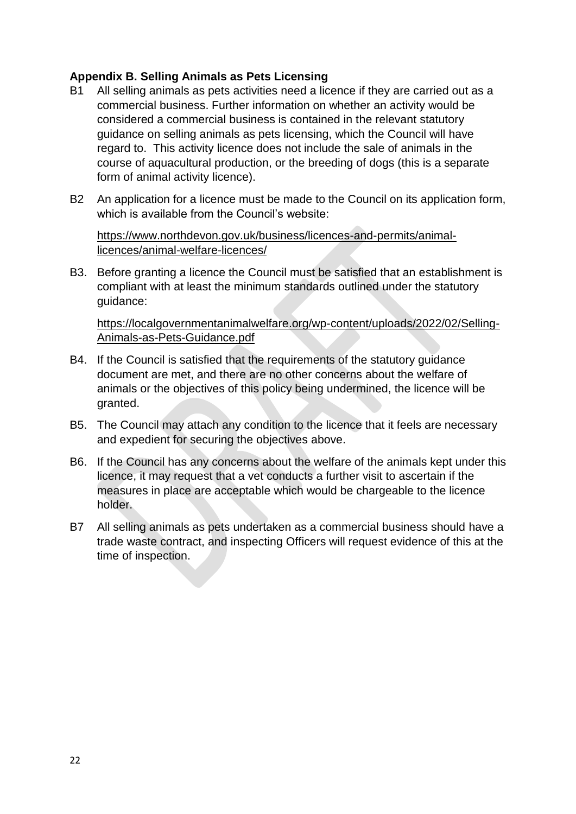## <span id="page-21-0"></span>**Appendix B. Selling Animals as Pets Licensing**

- B1 All selling animals as pets activities need a licence if they are carried out as a commercial business. Further information on whether an activity would be considered a commercial business is contained in the relevant statutory guidance on selling animals as pets licensing, which the Council will have regard to. This activity licence does not include the sale of animals in the course of aquacultural production, or the breeding of dogs (this is a separate form of animal activity licence).
- B2 An application for a licence must be made to the Council on its application form, which is available from the Council's website:

[https://www.northdevon.gov.uk/business/licences-and-permits/animal](https://www.northdevon.gov.uk/business/licences-and-permits/animal-licences/animal-welfare-licences/)[licences/animal-welfare-licences/](https://www.northdevon.gov.uk/business/licences-and-permits/animal-licences/animal-welfare-licences/)

B3. Before granting a licence the Council must be satisfied that an establishment is compliant with at least the minimum standards outlined under the statutory guidance:

[https://localgovernmentanimalwelfare.org/wp-content/uploads/2022/02/Selling-](https://localgovernmentanimalwelfare.org/wp-content/uploads/2022/02/Selling-Animals-as-Pets-Guidance.pdf)[Animals-as-Pets-Guidance.pdf](https://localgovernmentanimalwelfare.org/wp-content/uploads/2022/02/Selling-Animals-as-Pets-Guidance.pdf)

- B4. If the Council is satisfied that the requirements of the statutory guidance document are met, and there are no other concerns about the welfare of animals or the objectives of this policy being undermined, the licence will be granted.
- B5. The Council may attach any condition to the licence that it feels are necessary and expedient for securing the objectives above.
- B6. If the Council has any concerns about the welfare of the animals kept under this licence, it may request that a vet conducts a further visit to ascertain if the measures in place are acceptable which would be chargeable to the licence holder.
- B7 All selling animals as pets undertaken as a commercial business should have a trade waste contract, and inspecting Officers will request evidence of this at the time of inspection.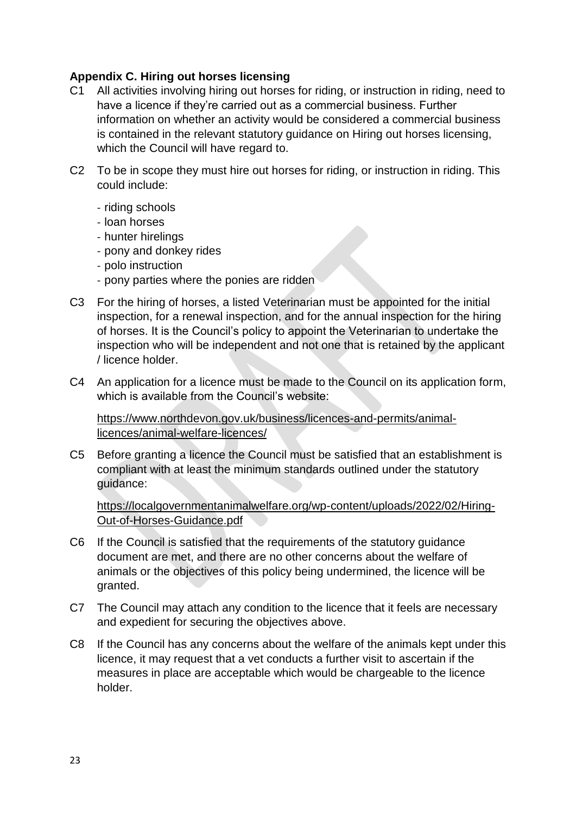## <span id="page-22-0"></span>**Appendix C. Hiring out horses licensing**

- C1 All activities involving hiring out horses for riding, or instruction in riding, need to have a licence if they're carried out as a commercial business. Further information on whether an activity would be considered a commercial business is contained in the relevant statutory guidance on Hiring out horses licensing, which the Council will have regard to.
- C2 To be in scope they must hire out horses for riding, or instruction in riding. This could include:
	- riding schools
	- loan horses
	- hunter hirelings
	- pony and donkey rides
	- polo instruction
	- pony parties where the ponies are ridden
- C3 For the hiring of horses, a listed Veterinarian must be appointed for the initial inspection, for a renewal inspection, and for the annual inspection for the hiring of horses. It is the Council's policy to appoint the Veterinarian to undertake the inspection who will be independent and not one that is retained by the applicant / licence holder.
- C4 An application for a licence must be made to the Council on its application form, which is available from the Council's website:

[https://www.northdevon.gov.uk/business/licences-and-permits/animal](https://www.northdevon.gov.uk/business/licences-and-permits/animal-licences/animal-welfare-licences/)[licences/animal-welfare-licences/](https://www.northdevon.gov.uk/business/licences-and-permits/animal-licences/animal-welfare-licences/)

C5 Before granting a licence the Council must be satisfied that an establishment is compliant with at least the minimum standards outlined under the statutory guidance:

[https://localgovernmentanimalwelfare.org/wp-content/uploads/2022/02/Hiring-](https://localgovernmentanimalwelfare.org/wp-content/uploads/2022/02/Hiring-Out-of-Horses-Guidance.pdf)[Out-of-Horses-Guidance.pdf](https://localgovernmentanimalwelfare.org/wp-content/uploads/2022/02/Hiring-Out-of-Horses-Guidance.pdf)

- C6 If the Council is satisfied that the requirements of the statutory guidance document are met, and there are no other concerns about the welfare of animals or the objectives of this policy being undermined, the licence will be granted.
- C7 The Council may attach any condition to the licence that it feels are necessary and expedient for securing the objectives above.
- C8 If the Council has any concerns about the welfare of the animals kept under this licence, it may request that a vet conducts a further visit to ascertain if the measures in place are acceptable which would be chargeable to the licence holder.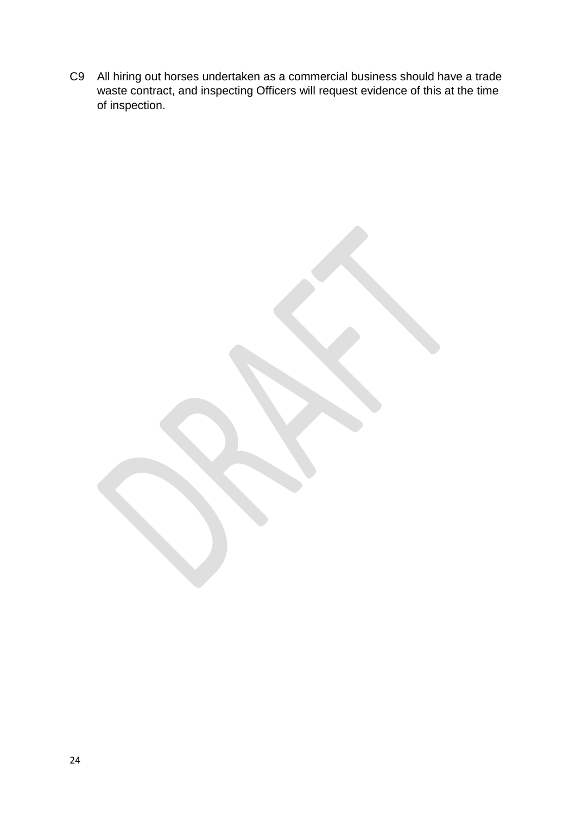C9 All hiring out horses undertaken as a commercial business should have a trade waste contract, and inspecting Officers will request evidence of this at the time of inspection.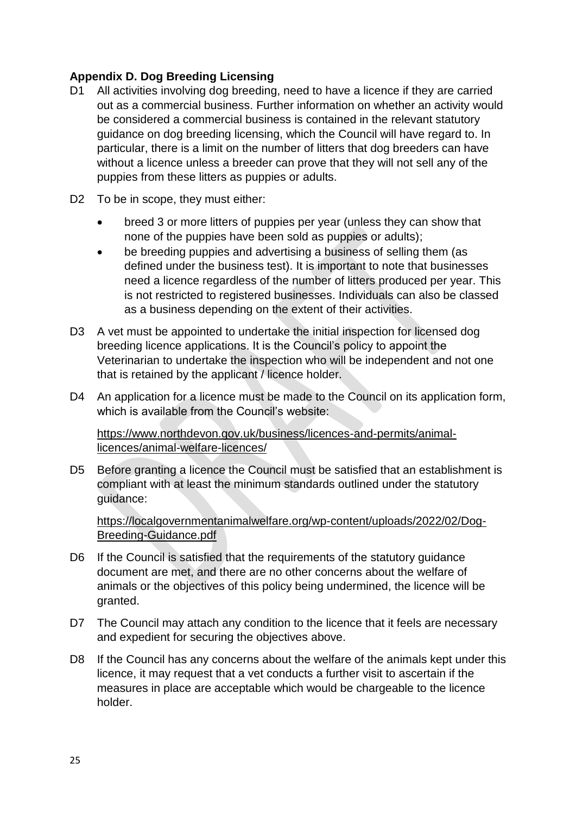## <span id="page-24-0"></span>**Appendix D. Dog Breeding Licensing**

- D1 All activities involving dog breeding, need to have a licence if they are carried out as a commercial business. Further information on whether an activity would be considered a commercial business is contained in the relevant statutory guidance on dog breeding licensing, which the Council will have regard to. In particular, there is a limit on the number of litters that dog breeders can have without a licence unless a breeder can prove that they will not sell any of the puppies from these litters as puppies or adults.
- D2 To be in scope, they must either:
	- breed 3 or more litters of puppies per year (unless they can show that none of the puppies have been sold as puppies or adults);
	- be breeding puppies and advertising a business of selling them (as defined under the business test). It is important to note that businesses need a licence regardless of the number of litters produced per year. This is not restricted to registered businesses. Individuals can also be classed as a business depending on the extent of their activities.
- D3 A vet must be appointed to undertake the initial inspection for licensed dog breeding licence applications. It is the Council's policy to appoint the Veterinarian to undertake the inspection who will be independent and not one that is retained by the applicant / licence holder.
- D4 An application for a licence must be made to the Council on its application form, which is available from the Council's website:

[https://www.northdevon.gov.uk/business/licences-and-permits/animal](https://www.northdevon.gov.uk/business/licences-and-permits/animal-licences/animal-welfare-licences/)[licences/animal-welfare-licences/](https://www.northdevon.gov.uk/business/licences-and-permits/animal-licences/animal-welfare-licences/)

D5 Before granting a licence the Council must be satisfied that an establishment is compliant with at least the minimum standards outlined under the statutory guidance:

[https://localgovernmentanimalwelfare.org/wp-content/uploads/2022/02/Dog-](https://localgovernmentanimalwelfare.org/wp-content/uploads/2022/02/Dog-Breeding-Guidance.pdf)[Breeding-Guidance.pdf](https://localgovernmentanimalwelfare.org/wp-content/uploads/2022/02/Dog-Breeding-Guidance.pdf)

- D6 If the Council is satisfied that the requirements of the statutory guidance document are met, and there are no other concerns about the welfare of animals or the objectives of this policy being undermined, the licence will be granted.
- D7 The Council may attach any condition to the licence that it feels are necessary and expedient for securing the objectives above.
- D8 If the Council has any concerns about the welfare of the animals kept under this licence, it may request that a vet conducts a further visit to ascertain if the measures in place are acceptable which would be chargeable to the licence holder.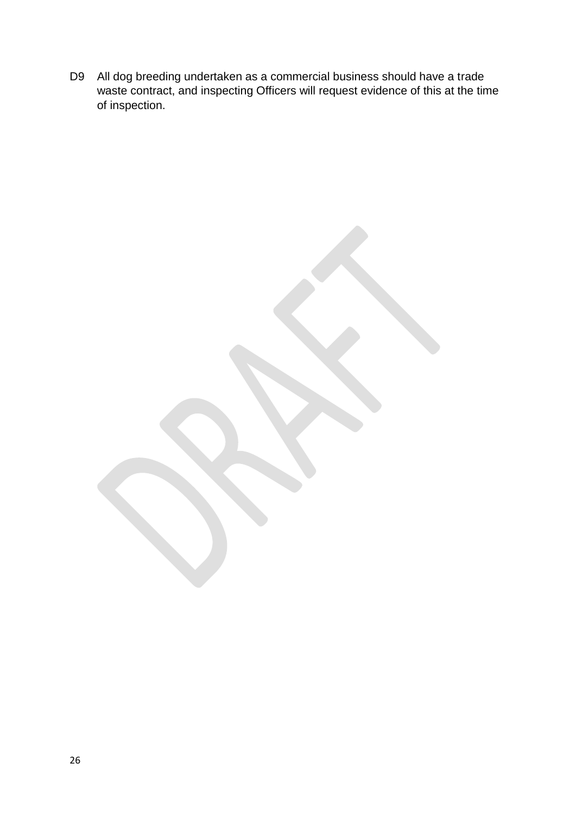D9 All dog breeding undertaken as a commercial business should have a trade waste contract, and inspecting Officers will request evidence of this at the time of inspection.

26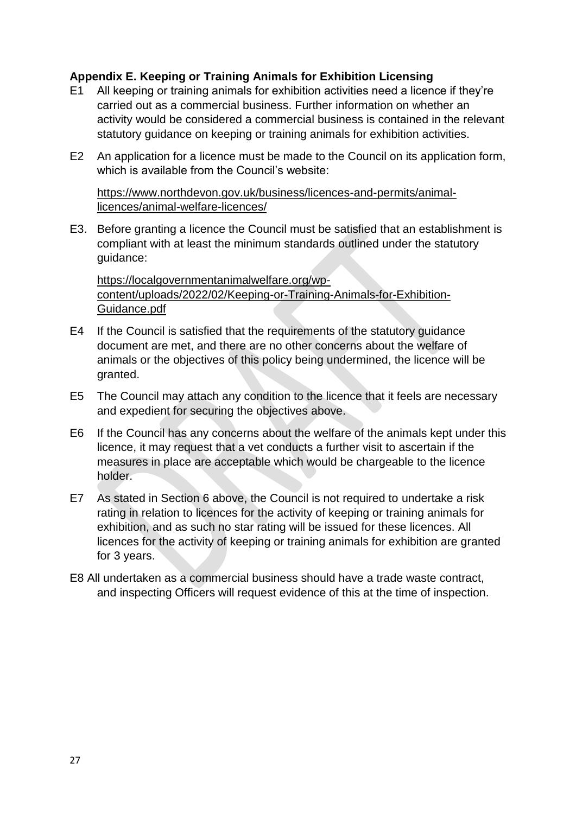## <span id="page-26-0"></span>**Appendix E. Keeping or Training Animals for Exhibition Licensing**

- E1 All keeping or training animals for exhibition activities need a licence if they're carried out as a commercial business. Further information on whether an activity would be considered a commercial business is contained in the relevant statutory guidance on keeping or training animals for exhibition activities.
- E2 An application for a licence must be made to the Council on its application form, which is available from the Council's website:

[https://www.northdevon.gov.uk/business/licences-and-permits/animal](https://www.northdevon.gov.uk/business/licences-and-permits/animal-licences/animal-welfare-licences/)[licences/animal-welfare-licences/](https://www.northdevon.gov.uk/business/licences-and-permits/animal-licences/animal-welfare-licences/)

E3. Before granting a licence the Council must be satisfied that an establishment is compliant with at least the minimum standards outlined under the statutory guidance:

[https://localgovernmentanimalwelfare.org/wp](https://localgovernmentanimalwelfare.org/wp-content/uploads/2022/02/Keeping-or-Training-Animals-for-Exhibition-Guidance.pdf)[content/uploads/2022/02/Keeping-or-Training-Animals-for-Exhibition-](https://localgovernmentanimalwelfare.org/wp-content/uploads/2022/02/Keeping-or-Training-Animals-for-Exhibition-Guidance.pdf)[Guidance.pdf](https://localgovernmentanimalwelfare.org/wp-content/uploads/2022/02/Keeping-or-Training-Animals-for-Exhibition-Guidance.pdf)

- E4 If the Council is satisfied that the requirements of the statutory guidance document are met, and there are no other concerns about the welfare of animals or the objectives of this policy being undermined, the licence will be granted.
- E5 The Council may attach any condition to the licence that it feels are necessary and expedient for securing the objectives above.
- E6 If the Council has any concerns about the welfare of the animals kept under this licence, it may request that a vet conducts a further visit to ascertain if the measures in place are acceptable which would be chargeable to the licence holder.
- E7 As stated in Section 6 above, the Council is not required to undertake a risk rating in relation to licences for the activity of keeping or training animals for exhibition, and as such no star rating will be issued for these licences. All licences for the activity of keeping or training animals for exhibition are granted for 3 years.
- E8 All undertaken as a commercial business should have a trade waste contract, and inspecting Officers will request evidence of this at the time of inspection.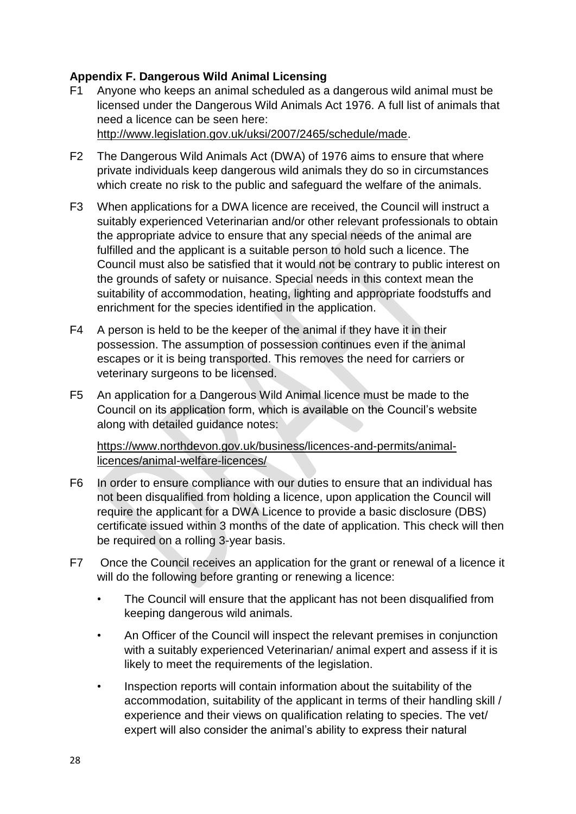## <span id="page-27-0"></span>**Appendix F. Dangerous Wild Animal Licensing**

- F1 Anyone who keeps an animal scheduled as a dangerous wild animal must be licensed under the Dangerous Wild Animals Act 1976. A full list of animals that need a licence can be seen here: [http://www.legislation.gov.uk/uksi/2007/2465/schedule/made.](http://www.legislation.gov.uk/uksi/2007/2465/schedule/made)
- F2 The Dangerous Wild Animals Act (DWA) of 1976 aims to ensure that where private individuals keep dangerous wild animals they do so in circumstances which create no risk to the public and safeguard the welfare of the animals.
- F3 When applications for a DWA licence are received, the Council will instruct a suitably experienced Veterinarian and/or other relevant professionals to obtain the appropriate advice to ensure that any special needs of the animal are fulfilled and the applicant is a suitable person to hold such a licence. The Council must also be satisfied that it would not be contrary to public interest on the grounds of safety or nuisance. Special needs in this context mean the suitability of accommodation, heating, lighting and appropriate foodstuffs and enrichment for the species identified in the application.
- F4 A person is held to be the keeper of the animal if they have it in their possession. The assumption of possession continues even if the animal escapes or it is being transported. This removes the need for carriers or veterinary surgeons to be licensed.
- F5 An application for a Dangerous Wild Animal licence must be made to the Council on its application form, which is available on the Council's website along with detailed guidance notes:

[https://www.northdevon.gov.uk/business/licences-and-permits/animal](https://www.northdevon.gov.uk/business/licences-and-permits/animal-licences/animal-welfare-licences/)[licences/animal-welfare-licences/](https://www.northdevon.gov.uk/business/licences-and-permits/animal-licences/animal-welfare-licences/)

- F6 In order to ensure compliance with our duties to ensure that an individual has not been disqualified from holding a licence, upon application the Council will require the applicant for a DWA Licence to provide a basic disclosure (DBS) certificate issued within 3 months of the date of application. This check will then be required on a rolling 3-year basis.
- F7 Once the Council receives an application for the grant or renewal of a licence it will do the following before granting or renewing a licence:
	- The Council will ensure that the applicant has not been disqualified from keeping dangerous wild animals.
	- An Officer of the Council will inspect the relevant premises in conjunction with a suitably experienced Veterinarian/ animal expert and assess if it is likely to meet the requirements of the legislation.
	- Inspection reports will contain information about the suitability of the accommodation, suitability of the applicant in terms of their handling skill / experience and their views on qualification relating to species. The vet/ expert will also consider the animal's ability to express their natural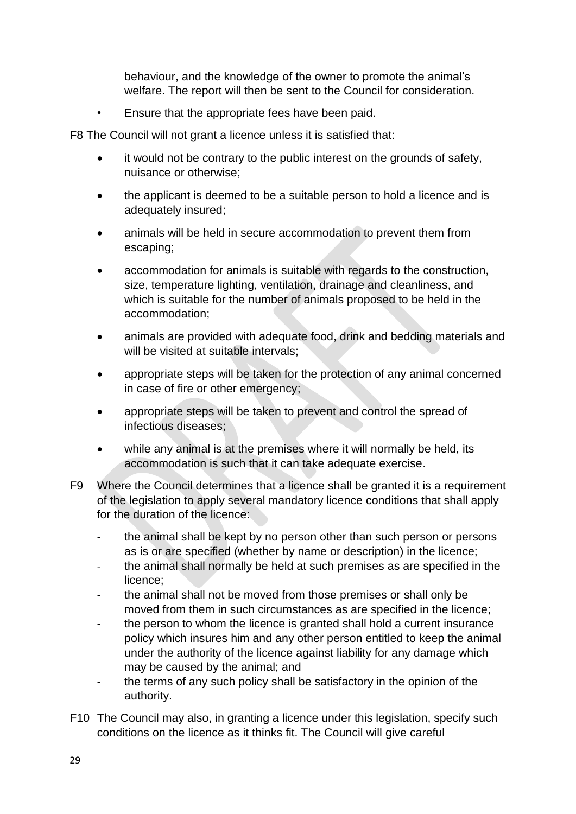behaviour, and the knowledge of the owner to promote the animal's welfare. The report will then be sent to the Council for consideration.

• Ensure that the appropriate fees have been paid.

F8 The Council will not grant a licence unless it is satisfied that:

- it would not be contrary to the public interest on the grounds of safety, nuisance or otherwise;
- the applicant is deemed to be a suitable person to hold a licence and is adequately insured;
- animals will be held in secure accommodation to prevent them from escaping;
- accommodation for animals is suitable with regards to the construction, size, temperature lighting, ventilation, drainage and cleanliness, and which is suitable for the number of animals proposed to be held in the accommodation;
- animals are provided with adequate food, drink and bedding materials and will be visited at suitable intervals;
- appropriate steps will be taken for the protection of any animal concerned in case of fire or other emergency;
- appropriate steps will be taken to prevent and control the spread of infectious diseases;
- while any animal is at the premises where it will normally be held, its accommodation is such that it can take adequate exercise.
- F9 Where the Council determines that a licence shall be granted it is a requirement of the legislation to apply several mandatory licence conditions that shall apply for the duration of the licence:
	- the animal shall be kept by no person other than such person or persons as is or are specified (whether by name or description) in the licence;
	- the animal shall normally be held at such premises as are specified in the licence;
	- the animal shall not be moved from those premises or shall only be moved from them in such circumstances as are specified in the licence;
	- the person to whom the licence is granted shall hold a current insurance policy which insures him and any other person entitled to keep the animal under the authority of the licence against liability for any damage which may be caused by the animal; and
	- the terms of any such policy shall be satisfactory in the opinion of the authority.
- F10 The Council may also, in granting a licence under this legislation, specify such conditions on the licence as it thinks fit. The Council will give careful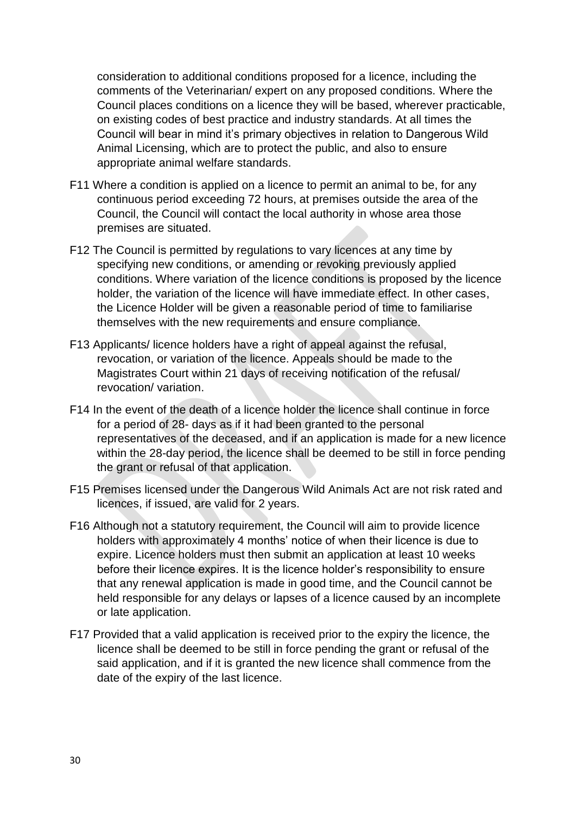consideration to additional conditions proposed for a licence, including the comments of the Veterinarian/ expert on any proposed conditions. Where the Council places conditions on a licence they will be based, wherever practicable, on existing codes of best practice and industry standards. At all times the Council will bear in mind it's primary objectives in relation to Dangerous Wild Animal Licensing, which are to protect the public, and also to ensure appropriate animal welfare standards.

- F11 Where a condition is applied on a licence to permit an animal to be, for any continuous period exceeding 72 hours, at premises outside the area of the Council, the Council will contact the local authority in whose area those premises are situated.
- F12 The Council is permitted by regulations to vary licences at any time by specifying new conditions, or amending or revoking previously applied conditions. Where variation of the licence conditions is proposed by the licence holder, the variation of the licence will have immediate effect. In other cases, the Licence Holder will be given a reasonable period of time to familiarise themselves with the new requirements and ensure compliance.
- F13 Applicants/ licence holders have a right of appeal against the refusal, revocation, or variation of the licence. Appeals should be made to the Magistrates Court within 21 days of receiving notification of the refusal/ revocation/ variation.
- F14 In the event of the death of a licence holder the licence shall continue in force for a period of 28- days as if it had been granted to the personal representatives of the deceased, and if an application is made for a new licence within the 28-day period, the licence shall be deemed to be still in force pending the grant or refusal of that application.
- F15 Premises licensed under the Dangerous Wild Animals Act are not risk rated and licences, if issued, are valid for 2 years.
- F16 Although not a statutory requirement, the Council will aim to provide licence holders with approximately 4 months' notice of when their licence is due to expire. Licence holders must then submit an application at least 10 weeks before their licence expires. It is the licence holder's responsibility to ensure that any renewal application is made in good time, and the Council cannot be held responsible for any delays or lapses of a licence caused by an incomplete or late application.
- F17 Provided that a valid application is received prior to the expiry the licence, the licence shall be deemed to be still in force pending the grant or refusal of the said application, and if it is granted the new licence shall commence from the date of the expiry of the last licence.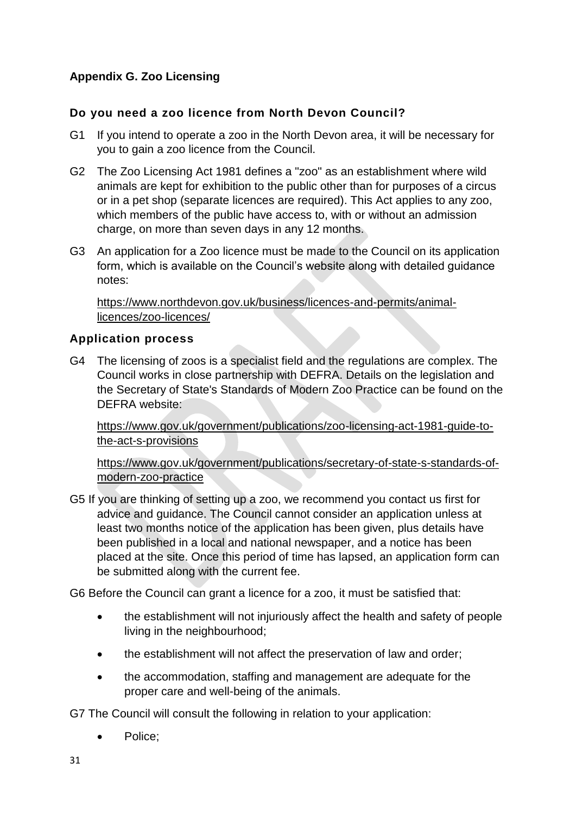# <span id="page-30-0"></span>**Appendix G. Zoo Licensing**

## **Do you need a zoo licence from North Devon Council?**

- G1 If you intend to operate a zoo in the North Devon area, it will be necessary for you to gain a zoo licence from the Council.
- G2 The Zoo Licensing Act 1981 defines a "zoo" as an establishment where wild animals are kept for exhibition to the public other than for purposes of a circus or in a pet shop (separate licences are required). This Act applies to any zoo, which members of the public have access to, with or without an admission charge, on more than seven days in any 12 months.
- G3 An application for a Zoo licence must be made to the Council on its application form, which is available on the Council's website along with detailed guidance notes:

[https://www.northdevon.gov.uk/business/licences-and-permits/animal](https://www.northdevon.gov.uk/business/licences-and-permits/animal-licences/zoo-licences/)[licences/zoo-licences/](https://www.northdevon.gov.uk/business/licences-and-permits/animal-licences/zoo-licences/)

## **Application process**

G4 The licensing of zoos is a specialist field and the regulations are complex. The Council works in close partnership with DEFRA. Details on the legislation and the Secretary of State's Standards of Modern Zoo Practice can be found on the DEFRA website:

[https://www.gov.uk/government/publications/zoo-licensing-act-1981-guide-to](https://www.gov.uk/government/publications/zoo-licensing-act-1981-guide-to-the-act-s-provisions)[the-act-s-provisions](https://www.gov.uk/government/publications/zoo-licensing-act-1981-guide-to-the-act-s-provisions)

[https://www.gov.uk/government/publications/secretary-of-state-s-standards-of](https://www.gov.uk/government/publications/secretary-of-state-s-standards-of-modern-zoo-practice)[modern-zoo-practice](https://www.gov.uk/government/publications/secretary-of-state-s-standards-of-modern-zoo-practice)

G5 If you are thinking of setting up a zoo, we recommend you contact us first for advice and guidance. The Council cannot consider an application unless at least two months notice of the application has been given, plus details have been published in a local and national newspaper, and a notice has been placed at the site. Once this period of time has lapsed, an application form can be submitted along with the current fee.

G6 Before the Council can grant a licence for a zoo, it must be satisfied that:

- the establishment will not injuriously affect the health and safety of people living in the neighbourhood;
- the establishment will not affect the preservation of law and order;
- the accommodation, staffing and management are adequate for the proper care and well-being of the animals.

G7 The Council will consult the following in relation to your application:

Police;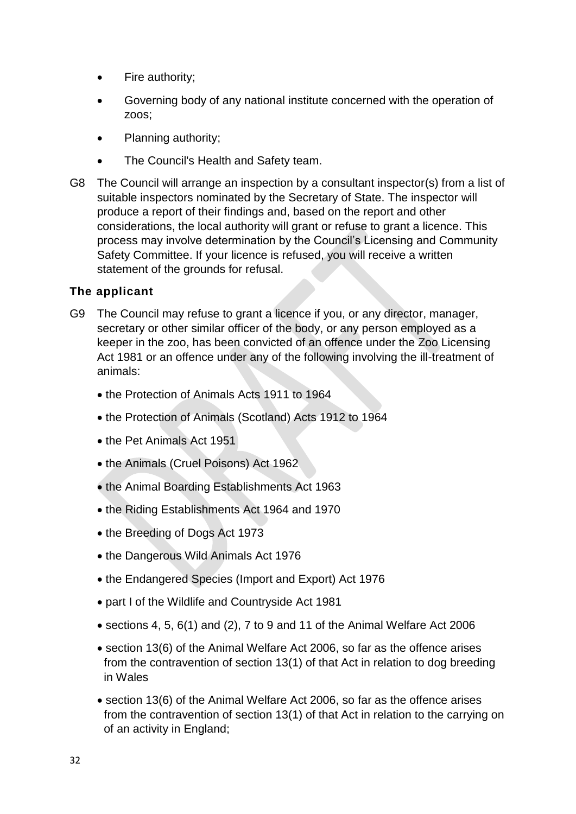- Fire authority;
- Governing body of any national institute concerned with the operation of zoos;
- Planning authority;
- The Council's Health and Safety team.
- G8 The Council will arrange an inspection by a consultant inspector(s) from a list of suitable inspectors nominated by the Secretary of State. The inspector will produce a report of their findings and, based on the report and other considerations, the local authority will grant or refuse to grant a licence. This process may involve determination by the Council's Licensing and Community Safety Committee. If your licence is refused, you will receive a written statement of the grounds for refusal.

## **The applicant**

- G9 The Council may refuse to grant a licence if you, or any director, manager, secretary or other similar officer of the body, or any person employed as a keeper in the zoo, has been convicted of an offence under the Zoo Licensing Act 1981 or an offence under any of the following involving the ill-treatment of animals:
	- the Protection of Animals Acts 1911 to 1964
	- the Protection of Animals (Scotland) Acts 1912 to 1964
	- the Pet Animals Act 1951
	- the Animals (Cruel Poisons) Act 1962
	- the Animal Boarding Establishments Act 1963
	- the Riding Establishments Act 1964 and 1970
	- the Breeding of Dogs Act 1973
	- the Dangerous Wild Animals Act 1976
	- the Endangered Species (Import and Export) Act 1976
	- part I of the Wildlife and Countryside Act 1981
	- sections 4, 5, 6(1) and (2), 7 to 9 and 11 of the Animal Welfare Act 2006
	- section 13(6) of the Animal Welfare Act 2006, so far as the offence arises from the contravention of section 13(1) of that Act in relation to dog breeding in Wales
	- section 13(6) of the Animal Welfare Act 2006, so far as the offence arises from the contravention of section 13(1) of that Act in relation to the carrying on of an activity in England;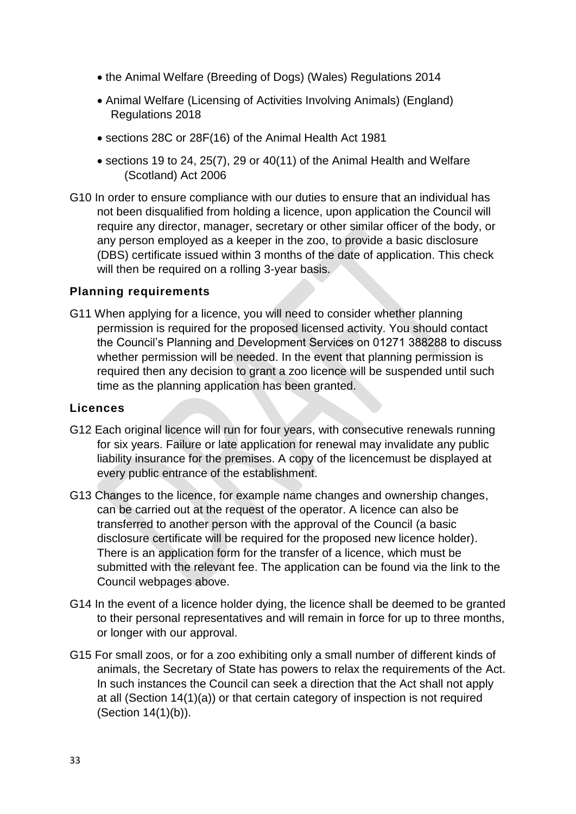- the Animal Welfare (Breeding of Dogs) (Wales) Regulations 2014
- Animal Welfare (Licensing of Activities Involving Animals) (England) Regulations 2018
- sections 28C or 28F(16) of the Animal Health Act 1981
- sections 19 to 24, 25(7), 29 or 40(11) of the Animal Health and Welfare (Scotland) Act 2006
- G10 In order to ensure compliance with our duties to ensure that an individual has not been disqualified from holding a licence, upon application the Council will require any director, manager, secretary or other similar officer of the body, or any person employed as a keeper in the zoo, to provide a basic disclosure (DBS) certificate issued within 3 months of the date of application. This check will then be required on a rolling 3-year basis.

#### **Planning requirements**

G11 When applying for a licence, you will need to consider whether planning permission is required for the proposed licensed activity. You should contact the Council's Planning and Development Services on 01271 388288 to discuss whether permission will be needed. In the event that planning permission is required then any decision to grant a zoo licence will be suspended until such time as the planning application has been granted.

#### **Licences**

- G12 Each original licence will run for four years, with consecutive renewals running for six years. Failure or late application for renewal may invalidate any public liability insurance for the premises. A copy of the licencemust be displayed at every public entrance of the establishment.
- G13 Changes to the licence, for example name changes and ownership changes, can be carried out at the request of the operator. A licence can also be transferred to another person with the approval of the Council (a basic disclosure certificate will be required for the proposed new licence holder). There is an application form for the transfer of a licence, which must be submitted with the relevant fee. The application can be found via the link to the Council webpages above.
- G14 In the event of a licence holder dying, the licence shall be deemed to be granted to their personal representatives and will remain in force for up to three months, or longer with our approval.
- G15 For small zoos, or for a zoo exhibiting only a small number of different kinds of animals, the Secretary of State has powers to relax the requirements of the Act. In such instances the Council can seek a direction that the Act shall not apply at all (Section 14(1)(a)) or that certain category of inspection is not required (Section 14(1)(b)).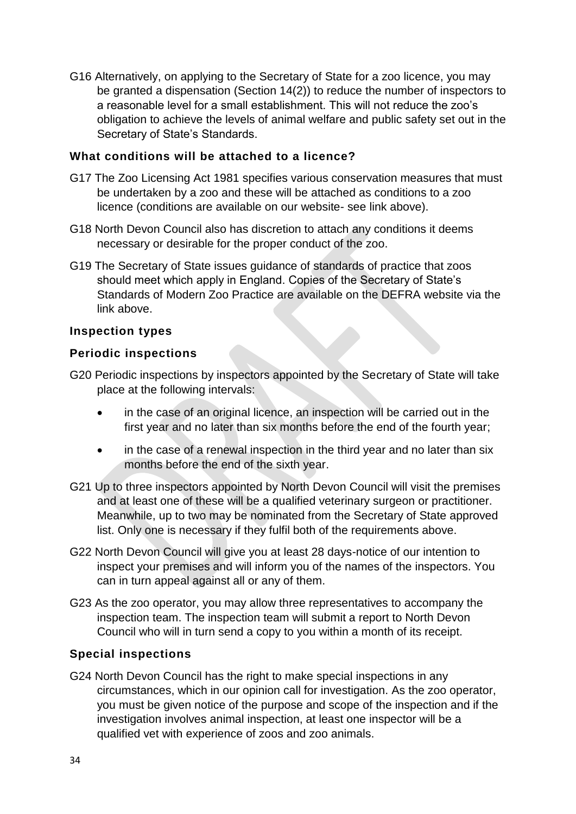G16 Alternatively, on applying to the Secretary of State for a zoo licence, you may be granted a dispensation (Section 14(2)) to reduce the number of inspectors to a reasonable level for a small establishment. This will not reduce the zoo's obligation to achieve the levels of animal welfare and public safety set out in the Secretary of State's Standards.

#### **What conditions will be attached to a licence?**

- G17 The Zoo Licensing Act 1981 specifies various conservation measures that must be undertaken by a zoo and these will be attached as conditions to a zoo licence (conditions are available on our website- see link above).
- G18 North Devon Council also has discretion to attach any conditions it deems necessary or desirable for the proper conduct of the zoo.
- G19 The Secretary of State issues guidance of standards of practice that zoos should meet which apply in England. Copies of the Secretary of State's Standards of Modern Zoo Practice are available on the DEFRA website via the link above.

#### **Inspection types**

#### **Periodic inspections**

- G20 Periodic inspections by inspectors appointed by the Secretary of State will take place at the following intervals:
	- in the case of an original licence, an inspection will be carried out in the first year and no later than six months before the end of the fourth year;
	- in the case of a renewal inspection in the third year and no later than six months before the end of the sixth year.
- G21 Up to three inspectors appointed by North Devon Council will visit the premises and at least one of these will be a qualified veterinary surgeon or practitioner. Meanwhile, up to two may be nominated from the Secretary of State approved list. Only one is necessary if they fulfil both of the requirements above.
- G22 North Devon Council will give you at least 28 days-notice of our intention to inspect your premises and will inform you of the names of the inspectors. You can in turn appeal against all or any of them.
- G23 As the zoo operator, you may allow three representatives to accompany the inspection team. The inspection team will submit a report to North Devon Council who will in turn send a copy to you within a month of its receipt.

## **Special inspections**

G24 North Devon Council has the right to make special inspections in any circumstances, which in our opinion call for investigation. As the zoo operator, you must be given notice of the purpose and scope of the inspection and if the investigation involves animal inspection, at least one inspector will be a qualified vet with experience of zoos and zoo animals.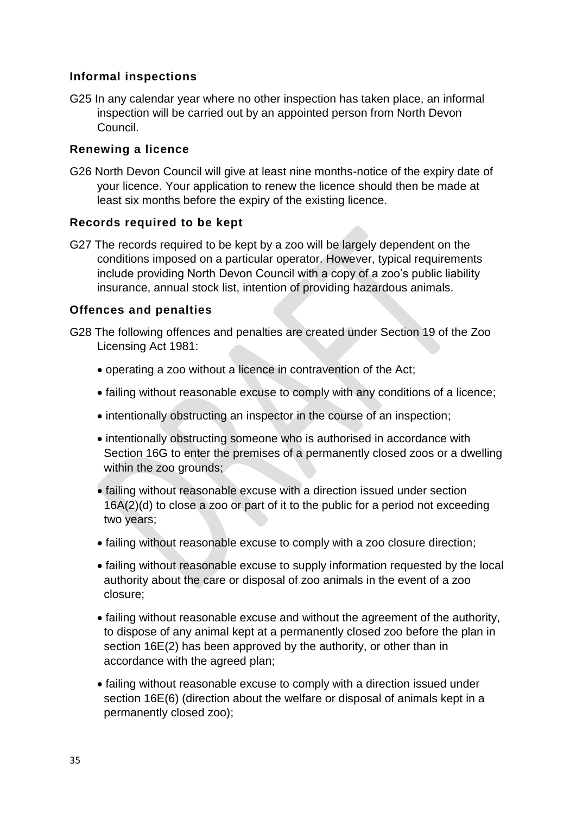## **Informal inspections**

G25 In any calendar year where no other inspection has taken place, an informal inspection will be carried out by an appointed person from North Devon Council.

#### **Renewing a licence**

G26 North Devon Council will give at least nine months-notice of the expiry date of your licence. Your application to renew the licence should then be made at least six months before the expiry of the existing licence.

#### **Records required to be kept**

G27 The records required to be kept by a zoo will be largely dependent on the conditions imposed on a particular operator. However, typical requirements include providing North Devon Council with a copy of a zoo's public liability insurance, annual stock list, intention of providing hazardous animals.

#### **Offences and penalties**

- G28 The following offences and penalties are created under Section 19 of the Zoo Licensing Act 1981:
	- operating a zoo without a licence in contravention of the Act;
	- failing without reasonable excuse to comply with any conditions of a licence;
	- intentionally obstructing an inspector in the course of an inspection;
	- intentionally obstructing someone who is authorised in accordance with Section 16G to enter the premises of a permanently closed zoos or a dwelling within the zoo grounds;
	- failing without reasonable excuse with a direction issued under section 16A(2)(d) to close a zoo or part of it to the public for a period not exceeding two years;
	- failing without reasonable excuse to comply with a zoo closure direction;
	- failing without reasonable excuse to supply information requested by the local authority about the care or disposal of zoo animals in the event of a zoo closure;
	- failing without reasonable excuse and without the agreement of the authority, to dispose of any animal kept at a permanently closed zoo before the plan in section 16E(2) has been approved by the authority, or other than in accordance with the agreed plan;
	- failing without reasonable excuse to comply with a direction issued under section 16E(6) (direction about the welfare or disposal of animals kept in a permanently closed zoo);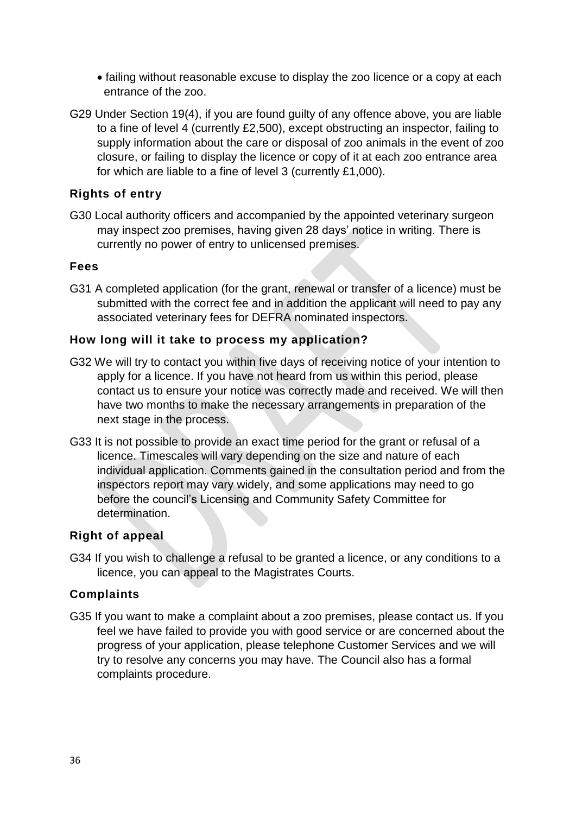- failing without reasonable excuse to display the zoo licence or a copy at each entrance of the zoo.
- G29 Under Section 19(4), if you are found guilty of any offence above, you are liable to a fine of level 4 (currently £2,500), except obstructing an inspector, failing to supply information about the care or disposal of zoo animals in the event of zoo closure, or failing to display the licence or copy of it at each zoo entrance area for which are liable to a fine of level 3 (currently £1,000).

## **Rights of entry**

G30 Local authority officers and accompanied by the appointed veterinary surgeon may inspect zoo premises, having given 28 days' notice in writing. There is currently no power of entry to unlicensed premises.

#### **Fees**

G31 A completed application (for the grant, renewal or transfer of a licence) must be submitted with the correct fee and in addition the applicant will need to pay any associated veterinary fees for DEFRA nominated inspectors.

#### **How long will it take to process my application?**

- G32 We will try to contact you within five days of receiving notice of your intention to apply for a licence. If you have not heard from us within this period, please contact us to ensure your notice was correctly made and received. We will then have two months to make the necessary arrangements in preparation of the next stage in the process.
- G33 It is not possible to provide an exact time period for the grant or refusal of a licence. Timescales will vary depending on the size and nature of each individual application. Comments gained in the consultation period and from the inspectors report may vary widely, and some applications may need to go before the council's Licensing and Community Safety Committee for determination.

#### **Right of appeal**

G34 If you wish to challenge a refusal to be granted a licence, or any conditions to a licence, you can appeal to the Magistrates Courts.

#### **Complaints**

G35 If you want to make a complaint about a zoo premises, please contact us. If you feel we have failed to provide you with good service or are concerned about the progress of your application, please telephone Customer Services and we will try to resolve any concerns you may have. The Council also has a formal complaints procedure.